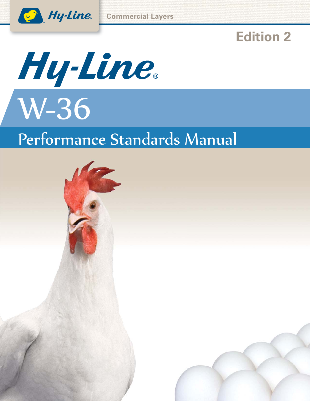

# **Edition 2**



# Performance Standards Manual

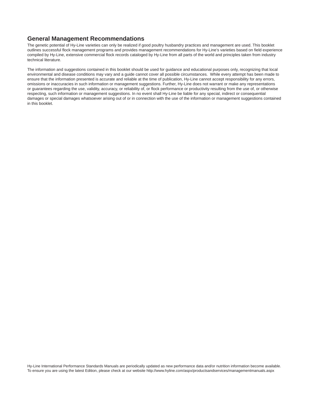### **General Management Recommendations**

The genetic potential of Hy-Line varieties can only be realized if good poultry husbandry practices and management are used. This booklet outlines successful flock management programs and provides management recommendations for Hy-Line's varieties based on field experience compiled by Hy-Line, extensive commercial flock records cataloged by Hy-Line from all parts of the world and principles taken from industry technical literature.

The information and suggestions contained in this booklet should be used for guidance and educational purposes only, recognizing that local environmental and disease conditions may vary and a guide cannot cover all possible circumstances. While every attempt has been made to ensure that the information presented is accurate and reliable at the time of publication, Hy-Line cannot accept responsibility for any errors, omissions or inaccuracies in such information or management suggestions. Further, Hy-Line does not warrant or make any representations or guarantees regarding the use, validity, accuracy, or reliability of, or flock performance or productivity resulting from the use of, or otherwise respecting, such information or management suggestions. In no event shall Hy-Line be liable for any special, indirect or consequential damages or special damages whatsoever arising out of or in connection with the use of the information or management suggestions contained in this booklet.

Hy-Line International Performance Standards Manuals are periodically updated as new performance data and/or nutrition information become available. To ensure you are using the latest Edition, please check at our website http://www.hyline.com/aspx/productsandservices/managementmanuals.aspx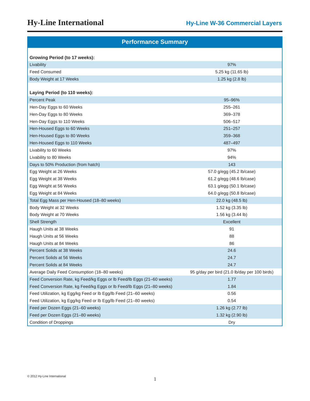| <b>Performance Summary</b>                                             |                                               |  |  |  |  |  |  |
|------------------------------------------------------------------------|-----------------------------------------------|--|--|--|--|--|--|
| <b>Growing Period (to 17 weeks):</b>                                   |                                               |  |  |  |  |  |  |
| Livability                                                             | 97%                                           |  |  |  |  |  |  |
| <b>Feed Consumed</b>                                                   | 5.25 kg (11.65 lb)                            |  |  |  |  |  |  |
| Body Weight at 17 Weeks                                                | 1.25 kg (2.8 lb)                              |  |  |  |  |  |  |
|                                                                        |                                               |  |  |  |  |  |  |
| Laying Period (to 110 weeks):                                          |                                               |  |  |  |  |  |  |
| <b>Percent Peak</b>                                                    | 95-96%                                        |  |  |  |  |  |  |
| Hen-Day Eggs to 60 Weeks                                               | 255-261                                       |  |  |  |  |  |  |
| Hen-Day Eggs to 80 Weeks                                               | 369-378                                       |  |  |  |  |  |  |
| Hen-Day Eggs to 110 Weeks                                              | 506-517                                       |  |  |  |  |  |  |
| Hen-Housed Eggs to 60 Weeks                                            | $251 - 257$                                   |  |  |  |  |  |  |
| Hen-Housed Eggs to 80 Weeks                                            | 359-368                                       |  |  |  |  |  |  |
| Hen-Housed Eggs to 110 Weeks                                           | 487-497                                       |  |  |  |  |  |  |
| Livability to 60 Weeks                                                 | 97%                                           |  |  |  |  |  |  |
| Livability to 80 Weeks                                                 | 94%                                           |  |  |  |  |  |  |
| Days to 50% Production (from hatch)                                    | 143                                           |  |  |  |  |  |  |
| Egg Weight at 26 Weeks                                                 | 57.0 g/egg (45.2 lb/case)                     |  |  |  |  |  |  |
| Egg Weight at 38 Weeks                                                 | 61.2 g/egg (48.6 lb/case)                     |  |  |  |  |  |  |
| Egg Weight at 56 Weeks                                                 | 63.1 g/egg (50.1 lb/case)                     |  |  |  |  |  |  |
| Egg Weight at 84 Weeks                                                 | 64.0 g/egg (50.8 lb/case)                     |  |  |  |  |  |  |
| Total Egg Mass per Hen-Housed (18-80 weeks)                            | 22.0 kg (48.5 lb)                             |  |  |  |  |  |  |
| Body Weight at 32 Weeks                                                | 1.52 kg (3.35 lb)                             |  |  |  |  |  |  |
| Body Weight at 70 Weeks                                                | 1.56 kg (3.44 lb)                             |  |  |  |  |  |  |
| <b>Shell Strength</b>                                                  | Excellent                                     |  |  |  |  |  |  |
| Haugh Units at 38 Weeks                                                | 91                                            |  |  |  |  |  |  |
| Haugh Units at 56 Weeks                                                | 88                                            |  |  |  |  |  |  |
| Haugh Units at 84 Weeks                                                | 86                                            |  |  |  |  |  |  |
| Percent Solids at 38 Weeks                                             | 24.6                                          |  |  |  |  |  |  |
| Percent Solids at 56 Weeks                                             | 24.7                                          |  |  |  |  |  |  |
| Percent Solids at 84 Weeks                                             | 24.7                                          |  |  |  |  |  |  |
| Average Daily Feed Consumption (18-80 weeks)                           | 95 g/day per bird (21.0 lb/day per 100 birds) |  |  |  |  |  |  |
| Feed Conversion Rate, kg Feed/kg Eggs or Ib Feed/Ib Eggs (21-60 weeks) | 1.77                                          |  |  |  |  |  |  |
| Feed Conversion Rate, kg Feed/kg Eggs or lb Feed/lb Eggs (21-80 weeks) | 1.84                                          |  |  |  |  |  |  |
| Feed Utilization, kg Egg/kg Feed or lb Egg/lb Feed (21-60 weeks)       | 0.56                                          |  |  |  |  |  |  |
| Feed Utilization, kg Egg/kg Feed or lb Egg/lb Feed (21-80 weeks)       | 0.54                                          |  |  |  |  |  |  |
| Feed per Dozen Eggs (21-60 weeks)                                      | 1.26 kg (2.77 lb)                             |  |  |  |  |  |  |
| Feed per Dozen Eggs (21-80 weeks)                                      | 1.32 kg (2.90 lb)                             |  |  |  |  |  |  |
| <b>Condition of Droppings</b>                                          | Dry                                           |  |  |  |  |  |  |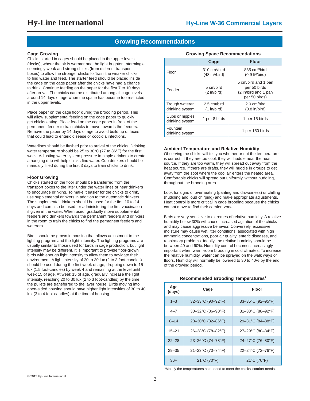### **Growing Recommendations**

#### **Cage Growing**

Chicks started in cages should be placed in the upper levels (decks), where the air is warmer and the light brighter. Intermingle seemingly weak and strong chicks (from different transport boxes) to allow the stronger chicks to 'train' the weaker chicks to find water and feed. The starter feed should be placed inside the cage on the cage paper after the chicks have had a chance to drink. Continue feeding on the paper for the first 7 to 10 days after arrival. The chicks can be distributed among all cage levels around 14 days of age when the space has become too restricted in the upper levels.

Place paper on the cage floor during the brooding period. This will allow supplemental feeding on the cage paper to quickly get chicks eating. Place feed on the cage paper in front of the permanent feeder to train chicks to move towards the feeders. Remove the paper by 14 days of age to avoid build up of feces that could lead to enteric disease or coccidia infections.

Waterlines should be flushed prior to arrival of the chicks. Drinking water temperature should be 25 to 30°C (77 to 86°F) for the first week. Adjusting water system pressure in nipple drinkers to create a hanging drip will help chicks find water. Cup drinkers should be manually filled during the first 3 days to train chicks to drink.

#### **Floor Growing**

Chicks started on the floor should be transferred from the transport boxes to the litter under the water lines or near drinkers to encourage drinking. To make it easier for the chicks to drink, use supplemental drinkers in addition to the automatic drinkers. The supplemental drinkers should be used for the first 10 to 14 days and can also be used for administering the first vaccination if given in the water. When used, gradually move supplemental feeders and drinkers towards the permanent feeders and drinkers in the room to train the chicks to find the permanent feeders and waterers.

Birds should be grown in housing that allows adjustment to the lighting program and the light intensity. The lighting programs are usually similar to those used for birds in cage production, but light intensity may be different. It is important to provide floor-grown birds with enough light intensity to allow them to navigate their environment. A light intensity of 20 to 30 lux (2 to 3 foot-candles) should be used during the first week of age, dropping down to 15 lux (1.5 foot-candles) by week 4 and remaining at the level until week 15 of age. At week 15 of age, gradually increase the light intensity, reaching 20 to 30 lux (2 to 3 foot-candles) by the time the pullets are transferred to the layer house. Birds moving into open-sided housing should have higher light intensities of 30 to 40 lux (3 to 4 foot-candles) at the time of housing.

|                                    | Cage                                                         | <b>Floor</b>                                                                 |  |  |  |  |  |  |
|------------------------------------|--------------------------------------------------------------|------------------------------------------------------------------------------|--|--|--|--|--|--|
| Floor                              | $310 \text{ cm}^2/\text{bird}$<br>(48 in <sup>2</sup> /bird) | 835 cm <sup>2</sup> /bird<br>(0.9 ft <sup>2</sup> /bird)                     |  |  |  |  |  |  |
| Feeder                             | 5 cm/bird<br>$(2 \infty)$                                    | 5 cm/bird and 1 pan<br>per 50 birds<br>(2 in/bird and 1 pan<br>per 50 birds) |  |  |  |  |  |  |
| Trough waterer<br>drinking system  | 2.5 cm/bird<br>(1 in/bird)                                   | 2.0 cm/bird<br>$(0.8 \infty)$                                                |  |  |  |  |  |  |
| Cups or nipples<br>drinking system | 1 per 8 birds                                                | 1 per 15 birds                                                               |  |  |  |  |  |  |
| Fountain<br>drinking system        |                                                              | 1 per 150 birds                                                              |  |  |  |  |  |  |

#### **Growing Space Recommendations**

#### **Ambient Temperature and Relative Humidity**

Observing the chicks will tell you whether or not the temperature is correct. If they are too cool, they will huddle near the heat source. If they are too warm, they will spread out away from the heat source. If there are drafts, they will huddle in groups to get away from the spot where the cool air enters the heated area. Comfortable chicks will spread out uniformly, without huddling, throughout the brooding area.

Look for signs of overheating (panting and drowsiness) or chilling (huddling and loud chirping) and make appropriate adjustments. Heat control is more critical in cage brooding because the chicks cannot move to find their comfort zone.

Birds are very sensitive to extremes of relative humidity. A relative humidity below 30% will cause increased agitation of the chicks and may cause aggressive behavior. Conversely, excessive moisture may cause wet litter conditions, associated with high ammonia concentrations, poor air quality, enteric diseases, and respiratory problems. Ideally, the relative humidity should be between 40 and 60%. Humidity control becomes increasingly important when warm-room brooding in cold climates. To increase the relative humidity, water can be sprayed on the walk ways or floors. Humidity will normally be lowered to 30 to 40% by the end of the growing period.

#### **Recommended Brooding Temperatures1**

| Age<br>(days) | Cage                             | Floor                                    |
|---------------|----------------------------------|------------------------------------------|
| $1 - 3$       | 32-33°C (90-92°F)                | $33 - 35^{\circ}$ C (92-95 $^{\circ}$ F) |
| $4 - 7$       | 30-32°C (86-90°F)                | 31-33°C (88-92°F)                        |
| $8 - 14$      | 28-30°C (82-86°F)                | 29-31°C (84-88°F)                        |
| $15 - 21$     | 26-28°C (78-82°F)                | 27-29°C (80-84°F)                        |
| $22 - 28$     | $23 - 26$ °C (74–78°F)           | 24-27°C (76-80°F)                        |
| $29 - 35$     | 21-23°C (70-74°F)                | 22-24°C (72-76°F)                        |
| $36+$         | $21^{\circ}$ C (70 $^{\circ}$ F) | $21^{\circ}$ C (70 $^{\circ}$ F)         |

1 Modify the temperatures as needed to meet the chicks' comfort needs.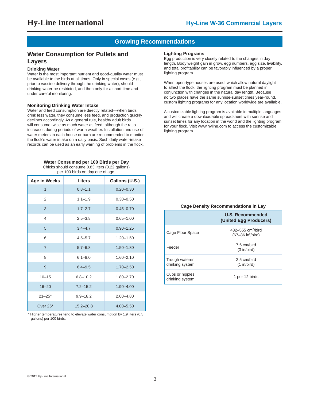### **Growing Recommendations**

#### **Water Consumption for Pullets and Layers**

#### **Drinking Water**

Water is the most important nutrient and good-quality water must be available to the birds at all times. Only in special cases (e.g., prior to vaccine delivery through the drinking water), should drinking water be restricted, and then only for a short time and under careful monitoring.

#### **Monitoring Drinking Water Intake**

Water and feed consumption are directly related—when birds drink less water, they consume less feed, and production quickly declines accordingly. As a general rule, healthy adult birds will consume twice as much water as feed, although the ratio increases during periods of warm weather. Installation and use of water meters in each house or barn are recommended to monitor the flock's water intake on a daily basis. Such daily water-intake records can be used as an early warning of problems in the flock.

#### **Water Consumed per 100 Birds per Day**

Chicks should consume 0.83 liters (0.22 gallons) per 100 birds on day one of age.

| Age in Weeks   | <b>Liters</b> | Gallons (U.S.) |
|----------------|---------------|----------------|
| $\mathbf{1}$   | $0.8 - 1.1$   | $0.20 - 0.30$  |
| $\overline{2}$ | $1.1 - 1.9$   | $0.30 - 0.50$  |
| 3              | $1.7 - 2.7$   | $0.45 - 0.70$  |
| 4              | $2.5 - 3.8$   | $0.65 - 1.00$  |
| 5              | $3.4 - 4.7$   | $0.90 - 1.25$  |
| 6              | $4.5 - 5.7$   | $1.20 - 1.50$  |
| $\overline{7}$ | $5.7 - 6.8$   | $1.50 - 1.80$  |
| 8              | $6.1 - 8.0$   | $1.60 - 2.10$  |
| 9              | $6.4 - 9.5$   | $1.70 - 2.50$  |
| $10 - 15$      | $6.8 - 10.2$  | $1.80 - 2.70$  |
| $16 - 20$      | $7.2 - 15.2$  | $1.90 - 4.00$  |
| $21 - 25*$     | $9.9 - 18.2$  | $2.60 - 4.80$  |
| Over 25*       | $15.2 - 20.8$ | $4.00 - 5.50$  |

Higher temperatures tend to elevate water consumption by 1.9 liters (0.5 gallons) per 100 birds.

#### **Lighting Programs**

Egg production is very closely related to the changes in day length. Body weight gain in grow, egg numbers, egg size, livability, and total profitability can be favorably influenced by a proper lighting program.

When open-type houses are used, which allow natural daylight to affect the flock, the lighting program must be planned in conjunction with changes in the natural day length. Because no two places have the same sunrise-sunset times year-round, custom lighting programs for any location worldwide are available.

A customizable lighting program is available in multiple languages and will create a downloadable spreadsheet with sunrise and sunset times for any location in the world and the lighting program for your flock. Visit www.hyline.com to access the customizable lighting program.

#### **Cage Density Recommendations in Lay**

|                                    | U.S. Recommended<br>(United Egg Producers)                          |
|------------------------------------|---------------------------------------------------------------------|
| Cage Floor Space                   | 432–555 cm <sup>2</sup> /bird<br>$(67 - 86)$ in <sup>2</sup> /bird) |
| Feeder                             | 7.6 cm/bird<br>$(3 \infty)$                                         |
| Trough waterer<br>drinking system  | 2.5 cm/bird<br>$(1 \infty)$                                         |
| Cups or nipples<br>drinking system | 1 per 12 birds                                                      |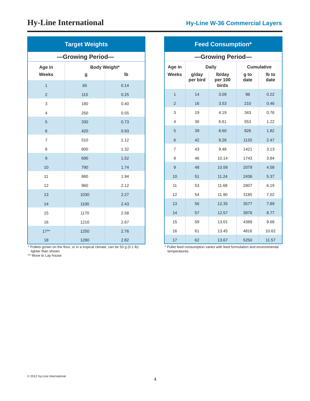| <b>Target Weights</b> |                     |      |  |  |  |  |  |
|-----------------------|---------------------|------|--|--|--|--|--|
| -Growing Period-      |                     |      |  |  |  |  |  |
| Age in                | <b>Body Weight*</b> |      |  |  |  |  |  |
| <b>Weeks</b>          | g                   | Ib   |  |  |  |  |  |
| $\overline{1}$        | 65                  | 0.14 |  |  |  |  |  |
| $\overline{c}$        | 115                 | 0.25 |  |  |  |  |  |
| 3                     | 180                 | 0.40 |  |  |  |  |  |
| $\overline{4}$        | 250                 | 0.55 |  |  |  |  |  |
| 5                     | 330                 | 0.73 |  |  |  |  |  |
| 6                     | 420                 | 0.93 |  |  |  |  |  |
| $\overline{7}$        | 510                 | 1.12 |  |  |  |  |  |
| 8                     | 600                 | 1.32 |  |  |  |  |  |
| 9                     | 690                 | 1.52 |  |  |  |  |  |
| 10                    | 790                 | 1.74 |  |  |  |  |  |
| 11                    | 880                 | 1.94 |  |  |  |  |  |
| 12                    | 960                 | 2.12 |  |  |  |  |  |
| 13                    | 1030                | 2.27 |  |  |  |  |  |
| 14                    | 1100                | 2.43 |  |  |  |  |  |
| 15                    | 1170                | 2.58 |  |  |  |  |  |
| 16                    | 1210                | 2.67 |  |  |  |  |  |
| $17***$               | 1250                | 2.76 |  |  |  |  |  |
| 18                    | 1280                | 2.82 |  |  |  |  |  |

\* Pullets grown on the floor, or in a tropical climate, can be 50 g (0.1 lb)

lighter than shown. \*\* Move to Lay house

### **Hy-Line International Hy-Line W-36 Commercial Layers**

| <b>Feed Consumption*</b> |                                   |                            |              |               |  |  |  |  |
|--------------------------|-----------------------------------|----------------------------|--------------|---------------|--|--|--|--|
| -Growing Period-         |                                   |                            |              |               |  |  |  |  |
| Age in                   | <b>Daily</b><br><b>Cumulative</b> |                            |              |               |  |  |  |  |
| <b>Weeks</b>             | g/day<br>per bird                 | Ib/day<br>per 100<br>birds | g to<br>date | lb to<br>date |  |  |  |  |
| $\overline{1}$           | 14                                | 3.09                       | 98           | 0.22          |  |  |  |  |
| $\overline{2}$           | 16                                | 3.53                       | 210          | 0.46          |  |  |  |  |
| 3                        | 19                                | 4.19                       | 343          | 0.76          |  |  |  |  |
| 4                        | 30                                | 6.61                       | 553          | 1.22          |  |  |  |  |
| 5                        | 39                                | 8.60                       | 826          | 1.82          |  |  |  |  |
| 6                        | 42                                | 9.26                       | 1120         | 2.47          |  |  |  |  |
| $\overline{7}$           | 43                                | 9.48                       | 1421         | 3.13          |  |  |  |  |
| 8                        | 46                                | 10.14                      | 1743         | 3.84          |  |  |  |  |
| 9                        | 48                                | 10.58                      | 2079         | 4.58          |  |  |  |  |
| 10                       | 51                                | 11.24                      | 2436         | 5.37          |  |  |  |  |
| 11                       | 53                                | 11.68                      | 2807         | 6.19          |  |  |  |  |
| 12                       | 54                                | 11.90                      | 3185         | 7.02          |  |  |  |  |
| 13                       | 56                                | 12.35                      | 3577         | 7.89          |  |  |  |  |
| 14                       | 57                                | 12.57                      | 3976         | 8.77          |  |  |  |  |
| 15                       | 59                                | 13.01                      | 4389         | 9.68          |  |  |  |  |
| 16                       | 61                                | 13.45                      | 4816         | 10.62         |  |  |  |  |
| 17                       | 62                                | 13.67                      | 5250         | 11.57         |  |  |  |  |

\* Pullet feed consumption varies with feed formulation and environmental temperatures.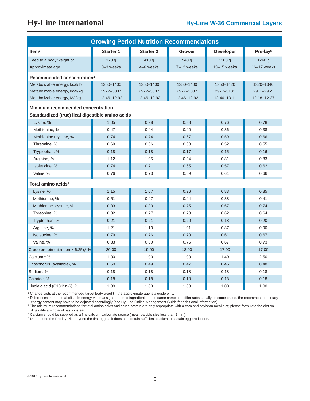| <b>Growing Period Nutrition Recommendations</b>  |                  |                  |               |                  |                      |  |  |  |  |
|--------------------------------------------------|------------------|------------------|---------------|------------------|----------------------|--|--|--|--|
| Item $1$                                         | <b>Starter 1</b> | <b>Starter 2</b> | <b>Grower</b> | <b>Developer</b> | Pre-lay <sup>5</sup> |  |  |  |  |
| Feed to a body weight of                         | 170 g            | 410 g            | 940 g         | 1160 g           | 1240 g               |  |  |  |  |
| Approximate age                                  | 0-3 weeks        | 4-6 weeks        | 7-12 weeks    | 13-15 weeks      | 16-17 weeks          |  |  |  |  |
| Recommended concentration <sup>2</sup>           |                  |                  |               |                  |                      |  |  |  |  |
| Metabolizable energy, kcal/lb                    | 1350-1400        | 1350-1400        | 1350-1400     | 1350-1420        | 1320-1340            |  |  |  |  |
| Metabolizable energy, kcal/kg                    | 2977-3087        | 2977-3087        | 2977-3087     | 2977-3131        | 2911-2955            |  |  |  |  |
| Metabolizable energy, MJ/kg                      | 12.46-12.92      | 12.46-12.92      | 12.46-12.92   | 12.46-13.11      | 12.18-12.37          |  |  |  |  |
| <b>Minimum recommended concentration</b>         |                  |                  |               |                  |                      |  |  |  |  |
| Standardized (true) ileal digestible amino acids |                  |                  |               |                  |                      |  |  |  |  |
| Lysine, %                                        | 1.05             | 0.98             | 0.88          | 0.76             | 0.78                 |  |  |  |  |
| Methionine, %                                    | 0.47             | 0.44             | 0.40          | 0.36             | 0.38                 |  |  |  |  |
| Methionine+cystine, %                            | 0.74             | 0.74             | 0.67          | 0.59             | 0.66                 |  |  |  |  |
| Threonine, %                                     | 0.69             | 0.66             | 0.60          | 0.52             | 0.55                 |  |  |  |  |
| Tryptophan, %                                    | 0.18             | 0.18             | 0.17          | 0.15             | 0.16                 |  |  |  |  |
| Arginine, %                                      | 1.12             | 1.05<br>0.94     |               | 0.81             | 0.83                 |  |  |  |  |
| Isoleucine, %                                    | 0.74             | 0.71             | 0.65          | 0.57             | 0.62                 |  |  |  |  |
| Valine, %                                        | 0.76             | 0.73<br>0.69     |               | 0.61             | 0.66                 |  |  |  |  |
| Total amino acids $^3$                           |                  |                  |               |                  |                      |  |  |  |  |
| Lysine, %                                        | 1.15             | 1.07             | 0.96          | 0.83             | 0.85                 |  |  |  |  |
| Methionine, %                                    | 0.51             | 0.47             | 0.44          | 0.38             | 0.41                 |  |  |  |  |
| Methionine+cystine, %                            | 0.83             | 0.83             | 0.75          | 0.67             | 0.74                 |  |  |  |  |
| Threonine, %                                     | 0.82             | 0.77             | 0.70          | 0.62             | 0.64                 |  |  |  |  |
| Tryptophan, %                                    | 0.21             | 0.21             | 0.20          | 0.18             | 0.20                 |  |  |  |  |
| Arginine, %                                      | 1.21             | 1.13             | 1.01          | 0.87             | 0.90                 |  |  |  |  |
| Isoleucine, %                                    | 0.79             | 0.76             | 0.70          | 0.61             | 0.67                 |  |  |  |  |
| Valine, %                                        | 0.83             | 0.80             | 0.76          | 0.67             | 0.73                 |  |  |  |  |
| Crude protein (nitrogen x 6.25), 3 %             | 20.00            | 19.00            | 18.00         | 17.00            | 17.00                |  |  |  |  |
| Calcium, <sup>4</sup> %                          | 1.00             | 1.00             | 1.00          | 1.40             | 2.50                 |  |  |  |  |
| Phosphorus (available), %                        | 0.50             | 0.49             | 0.47          | 0.45             | 0.48                 |  |  |  |  |
| Sodium, %                                        | 0.18             | 0.18             | 0.18          | 0.18             | 0.18                 |  |  |  |  |
| Chloride, %                                      | 0.18             | 0.18             | 0.18          | 0.18             | 0.18                 |  |  |  |  |
| Linoleic acid (C18:2 n-6), %                     | 1.00             | 1.00             | 1.00          | 1.00             | 1.00                 |  |  |  |  |

1 Change diets at the recommended target body weight—the approximate age is a guide only.

<sup>2</sup> Differences in the metabolizable energy value assigned to feed ingredients of the same name can differ substantially; in some cases, the recommended dietary energy content may have to be adjusted accordingly (see Hy-Line Online Management Guide for additional information).

<sup>3</sup> The minimum recommendations for total amino acids and crude protein are only appropriate with a corn and soybean meal diet; please formulate the diet on digestible amino acid basis instead.

<sup>4</sup> Calcium should be supplied as a fine calcium carbonate source (mean particle size less than 2 mm).

<sup>5</sup> Do not feed the Pre-lay Diet beyond the first egg as it does not contain sufficient calcium to sustain egg production.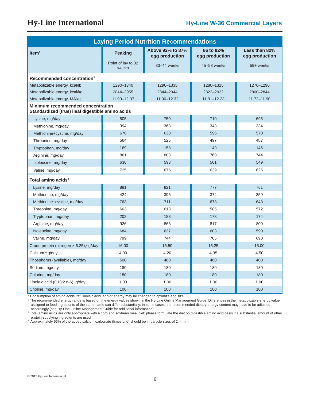| <b>Laying Period Nutrition Recommendations</b>                                               |                             |                                    |                             |                                 |  |  |  |
|----------------------------------------------------------------------------------------------|-----------------------------|------------------------------------|-----------------------------|---------------------------------|--|--|--|
| Item <sup>1</sup>                                                                            | <b>Peaking</b>              | Above 92% to 87%<br>egg production | 86 to 82%<br>egg production | Less than 82%<br>egg production |  |  |  |
|                                                                                              | Point of lay to 32<br>weeks | 33-44 weeks                        | 45-58 weeks                 | 59+ weeks                       |  |  |  |
| Recommended concentration <sup>2</sup>                                                       |                             |                                    |                             |                                 |  |  |  |
| Metabolizable energy, kcal/lb                                                                | 1290-1340                   | 1290-1335                          | 1280-1325                   | 1270-1290                       |  |  |  |
| Metabolizable energy, kcal/kg                                                                | 2844-2955                   | 2844-2944                          | 2822-2922                   | 2800-2844                       |  |  |  |
| Metabolizable energy, MJ/kg                                                                  | 11.90-12.37                 | 11.90-12.32                        | $11.81 - 12.23$             | 11.72-11.90                     |  |  |  |
| <b>Minimum recommended concentration</b><br>Standardized (true) ileal digestible amino acids |                             |                                    |                             |                                 |  |  |  |
| Lysine, mg/day                                                                               | 805                         | 750                                | 710                         | 695                             |  |  |  |
| Methionine, mg/day                                                                           | 394                         | 368                                | 348                         | 334                             |  |  |  |
| Methionine+cystine, mg/day                                                                   | 676                         | 630                                | 596                         | 570                             |  |  |  |
| Threonine, mg/day                                                                            | 564                         | 525                                | 497                         | 487                             |  |  |  |
| Tryptophan, mg/day                                                                           | 169                         | 158                                | 149                         | 146                             |  |  |  |
| Arginine, mg/day                                                                             | 861                         | 803                                | 760                         | 744                             |  |  |  |
| Isoleucine, mg/day                                                                           | 636                         | 593                                | 561                         | 549                             |  |  |  |
| Valine, mg/day                                                                               | 725                         | 675                                | 639                         | 626                             |  |  |  |
| Total amino acids $3$                                                                        |                             |                                    |                             |                                 |  |  |  |
| Lysine, mg/day                                                                               | 881                         | 821                                | 777                         | 761                             |  |  |  |
| Methionine, mg/day                                                                           | 424                         | 395                                | 374                         | 359                             |  |  |  |
| Methionine+cystine, mg/day                                                                   | 763                         | 711                                | 673                         | 643                             |  |  |  |
| Threonine, mg/day                                                                            | 663                         | 618                                | 585                         | 572                             |  |  |  |
| Tryptophan, mg/day                                                                           | 202                         | 188                                | 178                         | 174                             |  |  |  |
| Arginine, mg/day                                                                             | 926                         | 863                                | 817                         | 800                             |  |  |  |
| Isoleucine, mg/day                                                                           | 684                         | 637                                | 603                         | 590                             |  |  |  |
| Valine, mg/day                                                                               | 799                         | 744                                | 705                         | 690                             |  |  |  |
| Crude protein (nitrogen x 6.25), <sup>3</sup> g/day                                          | 16.00                       | 15.50                              | 15.25                       | 15.00                           |  |  |  |
| Calcium, <sup>4</sup> g/day                                                                  | 4.00                        | 4.20                               | 4.35                        | 4.50                            |  |  |  |
| Phosphorus (available), mg/day                                                               | 500                         | 480                                | 460                         | 400                             |  |  |  |
| Sodium, mg/day                                                                               | 180                         | 180                                | 180                         | 180                             |  |  |  |
| Chloride, mg/day                                                                             | 180                         | 180                                | 180                         | 180                             |  |  |  |
| Linoleic acid (C18:2 n-6), g/day                                                             | 1.00                        | 1.00                               | 1.00                        | 1.00                            |  |  |  |
| Choline, mg/day                                                                              | 100                         | 100                                | 100                         | 100                             |  |  |  |

1 Consumption of amino acids, fat, linoleic acid, and/or energy may be changed to optimize egg size.

2 The recommended energy range is based on the energy values shown in the Hy-Line Online Management Guide. Differences in the metabolizable energy value assigned to feed ingredients of the same name can differ substantially; in some cases, the recommended dietary energy content may have to be adjusted

accordingly (see Hy-Line Online Management Guide for additional information).<br><sup>3</sup> Total amino acids are only appropriate with a corn and soybean meal diet; please formulate the diet on digestible amino acid basis if a subs protein-supplying ingredients are used.

4 Approximately 65% of the added calcium carbonate (limestone) should be in particle sizes of 2–4 mm.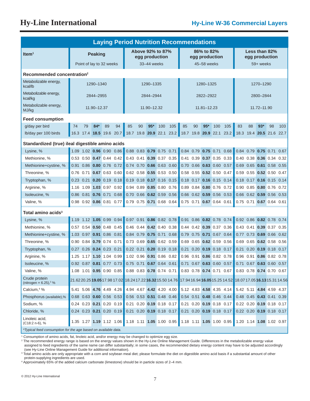| <b>Laying Period Nutrition Recommendations</b>                 |                          |                                       |             |    |                                                   |                                    |    |                                    |                              |      |      |                              |                     |     |                                                                                                         |                             |    |                         |                                       |      |
|----------------------------------------------------------------|--------------------------|---------------------------------------|-------------|----|---------------------------------------------------|------------------------------------|----|------------------------------------|------------------------------|------|------|------------------------------|---------------------|-----|---------------------------------------------------------------------------------------------------------|-----------------------------|----|-------------------------|---------------------------------------|------|
| Item <sup>1</sup>                                              | <b>Peaking</b>           |                                       |             |    |                                                   | Above 92% to 87%<br>egg production |    |                                    | 86% to 82%<br>egg production |      |      |                              |                     |     |                                                                                                         | Less than 82%               |    |                         |                                       |      |
|                                                                | Point of lay to 32 weeks |                                       |             |    |                                                   |                                    |    | 33-44 weeks                        |                              |      |      |                              | 45-58 weeks         |     |                                                                                                         | egg production<br>59+ weeks |    |                         |                                       |      |
|                                                                |                          |                                       |             |    |                                                   |                                    |    |                                    |                              |      |      |                              |                     |     |                                                                                                         |                             |    |                         |                                       |      |
| Recommended concentration <sup>2</sup>                         |                          |                                       |             |    |                                                   |                                    |    |                                    |                              |      |      |                              |                     |     |                                                                                                         |                             |    |                         |                                       |      |
| Metabolizable energy,<br>kcal/lb                               |                          |                                       | 1290-1340   |    |                                                   |                                    |    | 1290-1335                          |                              |      |      |                              | 1280-1325           |     |                                                                                                         | 1270-1290                   |    |                         |                                       |      |
| Metabolizable energy,<br>kcal/kg                               |                          |                                       | 2844-2955   |    |                                                   |                                    |    | 2844-2944                          |                              |      |      |                              | 2822-2922           |     |                                                                                                         |                             |    | 2800-2844               |                                       |      |
| Metabolizable energy,<br>MJ/kg                                 |                          |                                       | 11.90-12.37 |    |                                                   |                                    |    | 11.90-12.32                        |                              |      |      |                              | $11.81 - 12.23$     |     |                                                                                                         |                             |    | 11.72-11.90             |                                       |      |
| <b>Feed consumption</b>                                        |                          |                                       |             |    |                                                   |                                    |    |                                    |                              |      |      |                              |                     |     |                                                                                                         |                             |    |                         |                                       |      |
| g/day per bird                                                 | 74                       | 79                                    | $84*$       | 89 | 94                                                | 85                                 | 90 | $95*$                              | 100                          | 105  | 85   | 90                           | $95*$               | 100 | 105                                                                                                     | 83                          | 88 | $93*$                   | 98                                    | 103  |
| Ib/day per 100 birds                                           |                          |                                       |             |    | 16.3 17.4 18.5 19.6 20.7                          |                                    |    | 18.7 19.8 20.9 22.1                |                              | 23.2 |      | 18.7 19.8 20.9 22.1          |                     |     | 23.2                                                                                                    | 18.3                        |    |                         | 19.4 20.5 21.6 22.7                   |      |
| Standardized (true) ileal digestible amino acids               |                          |                                       |             |    |                                                   |                                    |    |                                    |                              |      |      |                              |                     |     |                                                                                                         |                             |    |                         |                                       |      |
| Lysine, %                                                      |                          |                                       |             |    | 1.09 1.02 0.96 0.90 0.86 0.88 0.83 0.79 0.75 0.71 |                                    |    |                                    |                              |      |      | 0.84 0.79 0.75 0.71 0.68     |                     |     |                                                                                                         |                             |    |                         | $0.84$ 0.79 0.75 0.71                 | 0.67 |
| Methionine, %                                                  |                          | $0.53$ $0.50$ <b>0.47</b> $0.44$      |             |    | 0.42                                              | 0.43                               |    | $0.41$ 0.39 0.37 0.35              |                              |      |      | $0.41$ $0.39$ $0.37$ $0.35$  |                     |     | 0.33                                                                                                    |                             |    | $0.40$ $0.38$ 0.36 0.34 |                                       | 0.32 |
| Methionine+cystine, %                                          |                          |                                       |             |    | $0.91$ 0.86 0.80 0.76 0.72                        |                                    |    | 0.74 0.70 0.66 0.63 0.60           |                              |      |      | 0.70 0.66 0.63 0.60 0.57     |                     |     |                                                                                                         |                             |    |                         | 0.69 0.65 0.61 0.58 0.55              |      |
| Threonine, %                                                   |                          | 0.76 0.71 0.67 0.63 0.60              |             |    |                                                   |                                    |    | 0.62 0.58 0.55 0.53 0.50           |                              |      |      | 0.58 0.55 0.52 0.50 0.47     |                     |     |                                                                                                         |                             |    |                         | 0.59 0.55 0.52 0.50 0.47              |      |
| Tryptophan, %                                                  |                          |                                       |             |    | 0.23 0.21 0.20 0.19 0.18                          |                                    |    | $0.19$ $0.18$ $0.17$ $0.16$ $0.15$ |                              |      |      | 0.18  0.17  0.16  0.15  0.14 |                     |     |                                                                                                         |                             |    |                         | 0.18 0.17 0.16 0.15 0.14              |      |
| Arginine, %                                                    |                          | 1.16 1.09 1.03 0.97 0.92              |             |    |                                                   |                                    |    | 0.94 0.89 0.85 0.80 0.76           |                              |      |      | 0.89 0.84 0.80 0.76 0.72     |                     |     |                                                                                                         |                             |    |                         | 0.90 0.85 0.80 0.76 0.72              |      |
| Isoleucine, %                                                  |                          | 0.86 0.81 0.76 0.71                   |             |    | 0.68                                              |                                    |    | 0.70 0.66 0.62 0.59 0.56           |                              |      |      | 0.66 0.62 0.59 0.56 0.53     |                     |     |                                                                                                         |                             |    |                         | 0.66 0.62 0.59 0.56 0.53              |      |
| Valine, %                                                      |                          | 0.98 0.92 0.86 0.81 0.77              |             |    |                                                   |                                    |    | 0.79 0.75 0.71 0.68 0.64           |                              |      |      | 0.75 0.71 0.67 0.64 0.61     |                     |     |                                                                                                         |                             |    |                         | 0.75 0.71 0.67 0.64 0.61              |      |
| Total amino acids <sup>3</sup>                                 |                          |                                       |             |    |                                                   |                                    |    |                                    |                              |      |      |                              |                     |     |                                                                                                         |                             |    |                         |                                       |      |
| Lysine, %                                                      |                          |                                       |             |    | 1.19  1.12  1.05  0.99  0.94                      |                                    |    | 0.97 0.91 0.86 0.82 0.78           |                              |      | 0.91 |                              | 0.86 0.82 0.78 0.74 |     |                                                                                                         |                             |    |                         | 0.92 0.86 0.82 0.78 0.74              |      |
| Methionine, %                                                  |                          | $0.57$ $0.54$ <b>0.50</b> $0.48$ 0.45 |             |    |                                                   |                                    |    | $0.46$ $0.44$ $0.42$ $0.40$ $0.38$ |                              |      |      | 0.44 0.42 0.39 0.37 0.36     |                     |     |                                                                                                         |                             |    |                         | $0.43$ $0.41$ $0.39$ $0.37$ $0.35$    |      |
| Methionine+cystine, %                                          |                          | 1.03 0.97 0.91 0.86 0.81              |             |    |                                                   |                                    |    | 0.84 0.79 0.75 0.71 0.68           |                              |      |      | 0.79 0.75 0.71 0.67 0.64     |                     |     |                                                                                                         |                             |    |                         | 0.77 0.73 0.69 0.66 0.62              |      |
| Threonine, %                                                   |                          | 0.90 0.84 0.79 0.74 0.71              |             |    |                                                   |                                    |    | 0.73 0.69 0.65 0.62 0.59           |                              |      |      | 0.69 0.65 0.62 0.59 0.56     |                     |     |                                                                                                         |                             |    |                         | 0.69 0.65 0.62 0.58 0.56              |      |
| Tryptophan, %                                                  |                          | 0.27  0.26 <b>0.24</b> 0.23  0.21     |             |    |                                                   |                                    |    | 0.22 0.21 0.20 0.19 0.18           |                              |      |      | 0.21 0.20 0.19 0.18 0.17     |                     |     |                                                                                                         |                             |    |                         | $0.21$ $0.20$ <b>0.19</b> $0.18$ 0.17 |      |
| Arginine, %                                                    |                          | 1.25 1.17 1.10 1.04 0.99              |             |    |                                                   |                                    |    | 1.02 0.96 0.91 0.86 0.82           |                              |      |      | 0.96 0.91 0.86 0.82 0.78     |                     |     |                                                                                                         |                             |    |                         | 0.96 0.91 0.86 0.82 0.78              |      |
| Isoleucine, %                                                  |                          |                                       |             |    | 0.92 0.87 0.81 0.77 0.73 0.75 0.71 0.67 0.64 0.61 |                                    |    |                                    |                              |      |      |                              |                     |     | 0.71 0.67 0.63 0.60 0.57 0.71 0.67 0.63 0.60 0.57                                                       |                             |    |                         |                                       |      |
| Valine, %                                                      |                          |                                       |             |    | 1.08 1.01 0.95 0.90 0.85                          |                                    |    | 0.88 0.83 0.78 0.74 0.71           |                              |      |      | 0.83 0.78 0.74 0.71 0.67     |                     |     |                                                                                                         |                             |    |                         | 0.83 0.78 0.74 0.70 0.67              |      |
| Crude protein<br>(nitrogen $\times$ 6.25), <sup>3</sup> %      |                          |                                       |             |    |                                                   |                                    |    |                                    |                              |      |      |                              |                     |     | 21.6220.2519.0517.9817.02 18.2417.2216.3215.5014.76 17.9416.9416.0515.2514.52 18.0717.0516.1315.3114.56 |                             |    |                         |                                       |      |
| Calcium, $4\%$                                                 |                          |                                       |             |    | 5.41 5.06 4.76 4.49 4.26                          |                                    |    | 4.94 4.67 4.42 4.20 4.00           |                              |      |      | 5.12 4.83 4.58 4.35 4.14     |                     |     |                                                                                                         |                             |    |                         | 5.42 5.11 4.84 4.59 4.37              |      |
| Phosphorus (available),%                                       |                          |                                       |             |    | $0.68$ 0.63 0.60 0.56 0.53                        |                                    |    | 0.56 0.53 0.51 0.48 0.46           |                              |      |      | 0.54 0.51 0.48 0.46 0.44     |                     |     |                                                                                                         |                             |    |                         | 0.48 0.45 0.43 0.41 0.39              |      |
| Sodium, %                                                      |                          |                                       |             |    | 0.24 0.23 0.21 0.20 0.19                          |                                    |    | 0.21 0.20 0.19 0.18 0.17           |                              |      |      | 0.21 0.20 0.19 0.18 0.17     |                     |     |                                                                                                         |                             |    |                         | $0.22$ 0.20 0.19 0.18 0.17            |      |
| Chloride, %                                                    |                          |                                       |             |    | $0.24$ 0.23 0.21 0.20 0.19                        |                                    |    | 0.21 0.20 0.19 0.18 0.17           |                              |      |      | 0.21 0.20 0.19 0.18 0.17     |                     |     |                                                                                                         |                             |    |                         | $0.22$ 0.20 0.19 0.18 0.17            |      |
| Linoleic acid,<br>(C18:2 n-6), %                               |                          |                                       |             |    | 1.35 1.27 1.19 1.12 1.06 1.18 1.11 1.05 1.00 0.95 |                                    |    |                                    |                              |      |      | 1.18 1.11 1.05 1.00 0.95     |                     |     |                                                                                                         |                             |    |                         | 1.20 1.14 1.08 1.02 0.97              |      |
| *Typical feed consumption for the age based on available data. |                          |                                       |             |    |                                                   |                                    |    |                                    |                              |      |      |                              |                     |     |                                                                                                         |                             |    |                         |                                       |      |

1 Consumption of amino acids, fat, linoleic acid, and/or energy may be changed to optimize egg size.

2 The recommended energy range is based on the energy values shown in the Hy-Line Online Management Guide. Differences in the metabolizable energy value assigned to feed ingredients of the same name can differ substantially; in some cases, the recommended dietary energy content may have to be adjusted accordingly

(see Hy-Line Online Management Guide for additional information).

<sup>3</sup> Total amino acids are only appropriate with a corn and soybean meal diet; please formulate the diet on digestible amino acid basis if a substantial amount of other protein-supplying ingredients are used.

4 Approximately 65% of the added calcium carbonate (limestone) should be in particle sizes of 2–4 mm.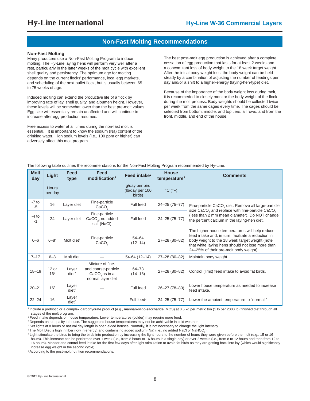### **Non-Fast Molting Recommendations**

#### **Non-Fast Molting**

Many producers use a Non-Fast Molting Program to induce molting. The Hy-Line laying hens will perform very well after a rest, particularly in the latter weeks of the molt cycle with excellent shell quality and persistency. The optimum age for molting depends on the current flocks' performance, local egg markets, and scheduling of the next pullet flock, but is usually between 65 to 75 weeks of age.

Induced molting can extend the productive life of a flock by improving rate of lay, shell quality, and albumen height. However, these levels will be somewhat lower than the best pre-molt values. Egg size will essentially remain unaffected and will continue to increase after egg production resumes.

Free access to water at all times during the non-fast molt is essential. It is important to know the sodium (Na) content of the drinking water. High sodium levels (i.e., 100 ppm or higher) can adversely affect this molt program.

The best post-molt egg production is achieved after a complete cessation of egg production that lasts for at least 2 weeks and a concomitant loss of body weight to the 18 week target weight. After the initial body weight loss, the body weight can be held steady by a combination of adjusting the number of feedings per day and/or a shift to a higher-energy (laying-hen-type) diet.

Because of the importance of the body weight loss during molt, it is recommeded to closely monitor the body weight of the flock during the molt process. Body weights should be collected twice per week from the same cages every time. The cages should be selected from bottom, middle, and top tiers; all rows; and from the front, middle, and end of the house.

The following table outlines the recommendations for the Non-Fast Molting Program recommended by Hy-Line.

| <b>Molt</b><br>day | Light                      | Feed<br>type               | Feed<br>modification <sup>1</sup>                                                         | Feed intake <sup>2</sup>                    | <b>House</b><br>temperature <sup>3</sup> | <b>Comments</b>                                                                                                                                                                                                                                       |
|--------------------|----------------------------|----------------------------|-------------------------------------------------------------------------------------------|---------------------------------------------|------------------------------------------|-------------------------------------------------------------------------------------------------------------------------------------------------------------------------------------------------------------------------------------------------------|
|                    | Hours<br>per day           |                            |                                                                                           | g/day per bird<br>(lb/day per 100<br>birds) | $°C$ ( $°F$ )                            |                                                                                                                                                                                                                                                       |
| $-7$ to<br>$-5$    | 16                         | Layer diet                 | Fine-particle<br>CaCO <sub>3</sub>                                                        | Full feed                                   | 24-25 (75-77)                            | Fine-particle CaCO <sub>2</sub> diet: Remove all large-particle<br>size $CaCO3$ and replace with fine-particle $CaCO3$                                                                                                                                |
| $-4$ to<br>$-1$    | 24                         | Layer diet                 | Fine-particle<br>CaCO <sub>3</sub> , no added<br>salt (NaCl)                              | Full feed                                   | 24-25 (75-77)                            | (less than 2 mm mean diameter). Do NOT change<br>the percent calcium in the laying-hen diet.                                                                                                                                                          |
| $0 - 6$            | $6 - 8^4$                  | Molt diet <sup>5</sup>     | Fine-particle<br>CaCO <sub>3</sub>                                                        | $54 - 64$<br>$(12 - 14)$                    | 27-28 (80-82)                            | The higher house temperatures will help reduce<br>feed intake and, in turn, facilitate a reduction in<br>body weight to the 18 week target weight (note<br>that white laying hens should not lose more than<br>24-25% of their pre-molt body weight). |
| $7 - 17$           | $6 - 8$                    | Molt diet                  |                                                                                           | 54-64 (12-14)                               | 27-28 (80-82)                            | Maintain body weight.                                                                                                                                                                                                                                 |
| $18 - 19$          | $12$ or<br>16 <sup>6</sup> | Layer<br>diet <sup>7</sup> | Mixture of fine-<br>and coarse-particle<br>CaCO <sub>3</sub> as in a<br>normal layer diet | 64-73<br>$(14 - 16)$                        | 27-28 (80-82)                            | Control (limit) feed intake to avoid fat birds.                                                                                                                                                                                                       |
| $20 - 21$          | 16 <sup>6</sup>            | Layer<br>diet <sup>7</sup> |                                                                                           | Full feed                                   | 26-27 (78-80)                            | Lower house temperature as needed to increase<br>feed intake.                                                                                                                                                                                         |
| $22 - 24$          | 16                         | Layer<br>$diet^7$          |                                                                                           | Full feed <sup>7</sup>                      | 24-25 (75-77)                            | Lower the ambient temperature to "normal."                                                                                                                                                                                                            |

<sup>1</sup> Include a probiotic or a complex-carbohydrate product (e.g., mannan-oligo-saccharide; MOS) at 0.5 kg per metric ton (1 lb per 2000 lb) finished diet through all stages of the molt program.

<sup>2</sup> Feed intake depends on house temperature. Lower temperatures (colder) may require more feed.

<sup>3</sup> Depends on air quality in house. The suggested house temperatures may not be achievable in cold weather.

4 Set lights at 8 hours or natural day length in open-sided houses. Normally, it is not necessary to change the light intensity.

 $^5$ The Molt Diet is high in fiber (low in energy) and contains no added sodium (Na) (i.e., no added NaCl or NaHCO $_{\rm 3}$ ).

<sup>6</sup> Light-stimulate the birds to bring the birds into production by increasing the light hours to the number of hours they were given before the molt (e.g., 15 or 16

hours). This increase can be performed over 1 week (i.e., from 8 hours to 16 hours in a single day) or over 2 weeks (i.e., from 8 to 12 hours and then from 12 to 16 hours). Monitor and control feed intake for the first few days after light stimulation to avoid fat birds as they are getting back into lay (which would significantly increase egg weight in the second cycle).

<sup>7</sup> According to the post-molt nutrition recommendations.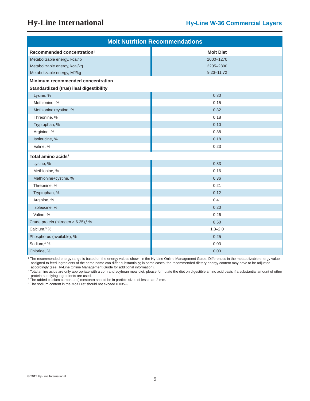| <b>Molt Nutrition Recommendations</b>           |                  |  |  |  |  |  |
|-------------------------------------------------|------------------|--|--|--|--|--|
| Recommended concentration <sup>1</sup>          | <b>Molt Diet</b> |  |  |  |  |  |
| Metabolizable energy, kcal/lb                   | 1000-1270        |  |  |  |  |  |
| Metabolizable energy, kcal/kg                   | 2205-2800        |  |  |  |  |  |
| Metabolizable energy, MJ/kg                     | $9.23 - 11.72$   |  |  |  |  |  |
| Minimum recommended concentration               |                  |  |  |  |  |  |
| Standardized (true) ileal digestibility         |                  |  |  |  |  |  |
| Lysine, %                                       | 0.30             |  |  |  |  |  |
| Methionine, %                                   | 0.15             |  |  |  |  |  |
| Methionine+cystine, %                           | 0.32             |  |  |  |  |  |
| Threonine, %                                    | 0.18             |  |  |  |  |  |
| Tryptophan, %                                   | 0.10             |  |  |  |  |  |
| Arginine, %                                     | 0.38             |  |  |  |  |  |
| Isoleucine, %                                   | 0.18             |  |  |  |  |  |
| Valine, %                                       | 0.23             |  |  |  |  |  |
| Total amino acids <sup>2</sup>                  |                  |  |  |  |  |  |
| Lysine, %                                       | 0.33             |  |  |  |  |  |
| Methionine, %                                   | 0.16             |  |  |  |  |  |
| Methionine+cystine, %                           | 0.36             |  |  |  |  |  |
| Threonine, %                                    | 0.21             |  |  |  |  |  |
| Tryptophan, %                                   | 0.12             |  |  |  |  |  |
| Arginine, %                                     | 0.41             |  |  |  |  |  |
| Isoleucine, %                                   | 0.20             |  |  |  |  |  |
| Valine, %                                       | 0.26             |  |  |  |  |  |
| Crude protein (nitrogen x 6.25), <sup>2</sup> % | 8.50             |  |  |  |  |  |
| Calcium, <sup>3</sup> %                         | $1.3 - 2.0$      |  |  |  |  |  |
| Phosphorus (available), %                       | 0.25             |  |  |  |  |  |
| Sodium, <sup>4</sup> %                          | 0.03             |  |  |  |  |  |
| Chloride, %                                     | 0.03             |  |  |  |  |  |

1 The recommended energy range is based on the energy values shown in the Hy-Line Online Management Guide. Differences in the metabolizable energy value assigned to feed ingredients of the same name can differ substantially; in some cases, the recommended dietary energy content may have to be adjusted accordingly (see Hy-Line Online Management Guide for additional information).

2 Total amino acids are only appropriate with a corn and soybean meal diet; please formulate the diet on digestible amino acid basis if a substantial amount of other protein-supplying ingredients are used.

3 The added calcium carbonate (limestone) should be in particle sizes of less than 2 mm.

4 The sodium content in the Molt Diet should not exceed 0.035%.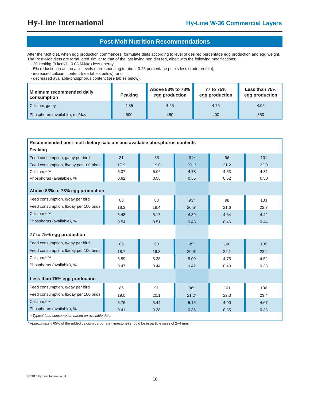### **Post-Molt Nutrition Recommendations**

After the Molt diet, when egg production commences, formulate diets according to level of desired percentage egg production and egg weight. The Post-Molt diets are formulated similar to that of the last laying hen diet fed, albeit with the following modifications:

- 20 kcal/kg (9 kcal/lb, 0.08 MJ/kg) less energy,

- 5% reduction in amino acid levels (corresponding to about 0.25 percentage points less crude protein),

- increased calcium content (see tables below), and

- decreased available-phosphorus content (see tables below).

| Minimum recommended daily<br>consumption | <b>Peaking</b> | Above 83% to 78%<br>egg production | 77 to 75%<br>egg production | Less than 75%<br>egg production |
|------------------------------------------|----------------|------------------------------------|-----------------------------|---------------------------------|
| $\mathsf{\sim}$ Calcium, g/day           | 4.35           | 4.55                               | 4.75                        | 4.95                            |
| Phosphorus (available), mg/day           | 500            | 450                                | 400                         | 350                             |

| Recommended post-molt dietary calcium and available phosphorus contents |      |      |         |      |      |  |  |  |  |  |  |
|-------------------------------------------------------------------------|------|------|---------|------|------|--|--|--|--|--|--|
| <b>Peaking</b>                                                          |      |      |         |      |      |  |  |  |  |  |  |
| Feed consumption, g/day per bird                                        | 81   | 86   | $91*$   | 96   | 101  |  |  |  |  |  |  |
| Feed consumption, lb/day per 100 birds                                  | 17.9 | 19.0 | $20.1*$ | 21.2 | 22.3 |  |  |  |  |  |  |
| Calcium, <sup>1</sup> %                                                 | 5.37 | 5.06 | 4.78    | 4.53 | 4.31 |  |  |  |  |  |  |
| Phosphorus (available), %                                               | 0.62 | 0.58 | 0.55    | 0.52 | 0.50 |  |  |  |  |  |  |
| Above 83% to 78% egg production                                         |      |      |         |      |      |  |  |  |  |  |  |
| Feed consumption, g/day per bird                                        | 83   | 88   | $93*$   | 98   | 103  |  |  |  |  |  |  |
| Feed consumption, lb/day per 100 birds                                  | 18.3 | 19.4 | $20.5*$ | 21.6 | 22.7 |  |  |  |  |  |  |
| Calcium, <sup>1</sup> %                                                 | 5.48 | 5.17 | 4.89    | 4.64 | 4.42 |  |  |  |  |  |  |
| Phosphorus (available), %                                               | 0.54 | 0.51 | 0.48    | 0.46 | 0.44 |  |  |  |  |  |  |
| 77 to 75% egg production                                                |      |      |         |      |      |  |  |  |  |  |  |
| Feed consumption, g/day per bird                                        | 85   | 90   | $95*$   | 100  | 105  |  |  |  |  |  |  |
| Feed consumption, Ib/day per 100 birds                                  | 18.7 | 19.8 | $20.9*$ | 22.1 | 23.2 |  |  |  |  |  |  |
| Calcium, <sup>1</sup> %                                                 | 5.59 | 5.28 | 5.00    | 4.75 | 4.52 |  |  |  |  |  |  |
| Phosphorus (available), %                                               | 0.47 | 0.44 | 0.42    | 0.40 | 0.38 |  |  |  |  |  |  |
| Less than 75% egg production                                            |      |      |         |      |      |  |  |  |  |  |  |
| Feed consumption, g/day per bird                                        | 86   | 91   | $96*$   | 101  | 106  |  |  |  |  |  |  |
| Feed consumption, lb/day per 100 birds                                  | 19.0 | 20.1 | $21.2*$ | 22.3 | 23.4 |  |  |  |  |  |  |
| Calcium, <sup>1</sup> %                                                 | 5.76 | 5.44 | 5.16    | 4.90 | 4.67 |  |  |  |  |  |  |
| Phosphorus (available), %                                               | 0.41 | 0.38 | 0.36    | 0.35 | 0.33 |  |  |  |  |  |  |
| * Typical feed consumption based on available data.                     |      |      |         |      |      |  |  |  |  |  |  |

1 Approximately 65% of the added calcium carbonate (limestone) should be in particle sizes of 2–4 mm.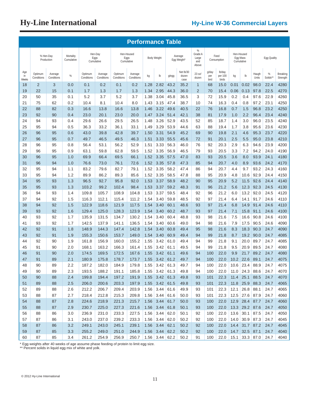|                    | <b>Performance Table</b> |                         |                         |                       |                       |                       |                                  |           |                               |       |                            |                                       |                      |                            |                                      |                                  |                |              |                      |
|--------------------|--------------------------|-------------------------|-------------------------|-----------------------|-----------------------|-----------------------|----------------------------------|-----------|-------------------------------|-------|----------------------------|---------------------------------------|----------------------|----------------------------|--------------------------------------|----------------------------------|----------------|--------------|----------------------|
|                    |                          | % Hen-Day<br>Production | Mortality<br>Cumulative | Eggs                  | Hen-Day<br>Cumulative |                       | Hen-Housed<br>Eggs<br>Cumulative |           | <b>Body Weight</b>            |       | Average<br>Egg Weight'     | %<br>Grade A<br>Large<br>and<br>Above |                      | Feed<br>Consumption        | Hen-Housed<br>Egg Mass<br>Cumulative |                                  |                | Egg Quality  |                      |
| Age<br>in<br>Weeks | Optimum<br>Conditions    | Average<br>Conditions   | $\%$                    | Optimum<br>Conditions | Average<br>Conditions | Optimum<br>Conditions | Average<br>Conditions            | kg        | lb                            | g/egg | Net lb/30<br>dozen<br>case | 23 oz/<br>dozen                       | g/day<br>per<br>bird | lb/day<br>per 100<br>birds | kg                                   | $\mathsf{lb}$                    | Haugh<br>Units | %<br>Solids* | Breaking<br>Strength |
| 18                 | $\overline{2}$           | 3                       | 0.0                     | 0.1                   | 0.2                   | 0.1                   | 0.2                              | 1.28      | 2.82                          | 43.2  | 35.2                       | $\mathbf{1}$                          | 68                   | 15.0                       | 0.01                                 | 0.02                             | 98.0           | 22.4         | 4280                 |
| 19                 | 22                       | 15                      | 0.1                     | 1.7                   | 1.3                   | 1.7                   | 1.3                              | 1.34      | 2.95                          | 44.3  | 36.0                       | $\overline{2}$                        | 70                   | 15.4                       | 0.06                                 | 0.13                             | 97.8           | 22.5         | 4270                 |
| 20                 | 50                       | 35                      | 0.1                     | 5.2                   | 3.7                   | 5.2                   | 3.7                              | 1.38      | 3.04                          | 45.8  | 36.5                       | 3                                     | 72                   | 15.9                       | 0.2                                  | 0.4                              | 97.6           | 22.9         | 4260                 |
| 21                 | 75                       | 62                      | 0.2                     | 10.4                  | 8.1                   | 10.4                  | 8.0                              | 1.43      | 3.15                          | 47.4  | 38.7                       | 10                                    | 74                   | 16.3                       | 0.4                                  | 0.8                              | 97.2           | 23.1         | 4250                 |
| 22                 | 88                       | 82                      | 0.3                     | 16.6                  | 13.8                  | 16.6                  | 13.8                             | 1.46      | 3.22                          | 49.6  | 40.5                       | 22                                    | 76                   | 16.8                       | 0.7                                  | 1.5                              | 96.8           | 23.2         | 4250                 |
| 23                 | 92                       | 90                      | 0.4                     | 23.0                  | 20.1                  | 23.0                  | 20.0                             | 1.47      | 3.24                          | 51.4  | 42.1                       | 38                                    | 81                   | 17.9                       | 1.0                                  | 2.2                              | 96.4           | 23.4         | 4240                 |
| 24                 | 94                       | 93                      | 0.4                     | 29.6                  | 26.6                  | 29.5                  | 26.5                             | 1.48      | 3.26                          | 52.9  | 43.5                       | 52                                    | 85                   | 18.7                       | 1.4                                  | 3.0                              | 96.0           | 23.5         | 4240                 |
| 25                 | 95                       | 94                      | 0.5                     | 36.3                  | 33.2                  | 36.1                  | 33.1                             | 1.49      | 3.29                          | 53.9  | 44.6                       | 63                                    | 88                   | 19.4                       | 1.7                                  | 3.8                              | 95.6           | 23.6         | 4230                 |
| 26                 | 96                       | 95                      | 0.6                     | 43.0                  | 39.8                  | 42.8                  | 39.7                             | 1.50      | 3.31                          | 54.9  | 45.2                       | 69                                    | 90                   | 19.8                       | 2.1                                  | 4.6                              | 95.3           | 23.7         | 4220                 |
| 27                 | 96                       | 95                      | 0.7                     | 49.7                  | 46.5                  | 49.5                  | 46.3                             | 1.51      | 3.33                          | 55.5  | 45.6                       | 72                                    | 91                   | 20.1                       | 2.5                                  | 5.5                              | 95.0           | 23.8         | 4210                 |
| 28                 | 96                       | 95                      | 0.8                     | 56.4                  | 53.1                  | 56.2                  | 52.9                             | 1.51      | 3.33                          | 56.3  | 46.0                       | 76                                    | 92                   | 20.3                       | 2.9                                  | 6.3                              | 94.6           | 23.9         | 4200                 |
| 29                 | 96                       | 95                      | 0.9                     | 63.1                  | 59.8                  | 62.8                  | 59.5                             | 1.52      | 3.35                          | 56.9  | 46.5                       | 79                                    | 93                   | 20.5                       | 3.3                                  | 7.2                              | 94.2           | 24.0         | 4190                 |
| 30                 | 96                       | 95                      | 1.0                     | 69.9                  | 66.4                  | 69.5                  | 66.1                             | 1.52      | 3.35                          | 57.5  | 47.0                       | 83                                    | 93                   | 20.5                       | 3.6                                  | 8.0                              | 93.9           | 24.1         | 4180                 |
| 31                 | 96                       | 94                      | 1.0                     | 76.6                  | 73.0                  | 76.1                  | 72.6                             | 1.52      | 3.35                          | 57.8  | 47.3                       | 85                                    | 94                   | 20.7                       | 4.0                                  | 8.9                              | 93.6           | 24.2         | 4170                 |
| 32                 | 95                       | 94                      | 1.1                     | 83.2                  | 79.6                  | 82.7                  | 79.1                             | 1.52      | 3.35                          | 58.2  | 47.4                       | 86                                    | 94                   | 20.7                       | 4.4                                  | 9.7                              | 93.2           | 24.3         | 4160                 |
| 33                 | 95                       | 94                      | 1.2                     | 89.9                  | 86.2                  | 89.3                  | 85.6                             | 1.52      | 3.35                          | 58.5  | 47.8                       | 88                                    | 95                   | 20.9                       | 4.8                                  | 10.6                             | 92.9           | 24.4         | 4150                 |
| 34                 | 95                       | 93                      | 1.3                     | 96.5                  | 92.7                  | 95.8                  | 92.0                             | 1.53      | 3.37                          | 58.9  | 48.2                       | 90                                    | 95                   | 20.9                       | 5.2                                  | 11.5                             | 92.6           | 24.4         | 4140                 |
| 35                 | 95                       | 93                      | 1.3                     | 103.2                 | 99.2                  | 102.4                 | 98.4                             | 1.53      | 3.37                          | 59.2  | 48.3                       | 91                                    | 96                   | 21.2                       | 5.6                                  | 12.3                             | 92.3           | 24.5         | 4130                 |
| 36                 | 94                       | 93                      | 1.4                     | 109.8                 | 105.7                 | 108.9                 | 104.8                            | 1.53      | 3.37                          | 59.5  | 48.4                       | 92                                    | 96                   | 21.2                       | 6.0                                  | 13.2                             | 92.0           | 24.5         | 4120                 |
| 37                 | 94                       | 92                      | 1.5                     | 116.3                 | 112.1                 | 115.4                 | 111.2                            | 1.54      | 3.40                          | 59.8  | 48.5                       | 92                                    | 97                   | 21.4                       | 6.4                                  | 14.1                             | 91.7           | 24.6         | 4110                 |
| 38                 | 94                       | 92                      | 1.5                     | 122.9                 | 118.6                 | 121.9                 | 117.5                            | 1.54      | 3.40                          | 60.1  | 48.6                       | 93                                    | 97                   | 21.4                       | 6.8                                  | 14.9                             | 91.4           | 24.6         | 4110                 |
| 39                 | 93                       | 92                      | 1.6                     | 129.4                 | 125.0                 | 128.3                 | 123.9                            | 1.54      | 3.40                          | 60.2  | 48.7                       | 93                                    | 97                   | 21.4                       | 7.1                                  | 15.8                             | 91.1           | 24.6         | 4100                 |
| 40                 | 93                       | 92                      | 1.7                     | 135.9                 | 131.5                 | 134.7                 | 130.2                            | 1.54      | 3.40                          | 60.4  | 48.8                       | 93                                    | 98                   | 21.6                       | 7.5                                  | 16.6                             | 90.8           | 24.6         | 4100                 |
| 41                 | 93                       | 92                      | 1.7                     | 142.5                 | 137.9                 | 141.1                 | 136.5                            | 1.54      | 3.40                          | 60.6  | 49.0                       | 94                                    | 98                   | 21.6                       | 7.9                                  | 17.5                             | 90.5           | 24.6         | 4090                 |
| 42                 | 92                       | 91                      | 1.8                     | 148.9                 | 144.3                 | 147.4                 | 142.8                            | 1.54      | 3.40                          | 60.8  | 49.4                       | 95                                    | 98                   | 21.6                       | 8.3                                  | 18.3                             | 90.3           | 24.7         | 4090                 |
| 43                 | 92                       | 91                      | 1.9                     | 155.3                 | 150.6                 | 153.7                 | 149.0                            | 1.54      | 3.40                          | 60.9  | 49.4                       | 94                                    | 99                   | 21.8                       | 8.7                                  | 19.2                             | 90.0           | 24.7         | 4085                 |
| 44                 | 92                       | 90                      | 1.9                     | 161.8                 | 156.9                 | 160.0                 | 155.2                            | 1.55      | 3.42                          | 61.0  | 49.4                       | 94                                    | 99                   | 21.8                       | 9.1                                  | 20.0                             | 89.7           | 24.7         | 4085                 |
| 45                 | 91                       | 90                      | 2.0                     | 168.1                 | 163.2                 | 166.3                 | 161.4                            | 1.55      | 3.42                          | 61.1  | 49.5                       | 94                                    | 99                   | 21.8                       | 9.5                                  | 20.9                             | 89.5           | 24.7         | 4080                 |
| 46                 | 91                       | 90                      | 2.0                     | 174.5                 | 169.5                 | 172.5                 | 167.6                            | 1.55      | 3.42                          | 61.1  | 49.6                       | 94                                    | 100                  | 22.0                       | 9.9                                  | 21.7                             | 89.2           | 24.7         | 4080                 |
| 47                 | 91                       | 89                      | 2.1                     | 180.9                 | 175.8                 | 178.7                 | 173.7                            | 1.55      | 3.42                          | 61.2  | 49.7                       | 94                                    | 100                  | 22.0                       | 10.2                                 | 22.6                             | 89.1           | 24.7         | 4075                 |
| 48                 | 90                       | 89                      | 2.2                     | 187.2                 | 182.0                 | 184.9                 | 179.8                            |           | $1.55$ 3.42 61.3              |       | 49.7                       | 94                                    | 100                  | 22.0                       |                                      | 10.6 23.4 88.9                   |                | 24.7         | 4075                 |
| 49                 | 90                       | 89                      | 2.3                     | 193.5                 | 188.2                 | 191.1                 | 185.8                            |           | $1.55$ 3.42 61.3              |       | 49.8                       | 94                                    | 100                  | 22.0                       |                                      | 11.0 24.3 88.6                   |                | 24.7         | 4070                 |
| 50                 | 90                       | 88                      | 2.4                     | 199.8                 | 194.4                 | 197.2                 | 191.9                            |           | 1.55 3.42 61.3                |       | 49.8                       | 93                                    | 101                  | 22.3                       |                                      | 11.4 25.1 88.5                   |                | 24.7         | 4070                 |
| 51                 | 89                       | 88                      | 2.5                     | 206.0                 | 200.6                 | 203.3                 | 197.9                            |           | 1.55 3.42 61.5                |       | 49.8                       | 93                                    | 101                  | 22.3                       |                                      | 11.8 25.9 88.3                   |                | 24.7         | 4065                 |
| 52                 | 89                       | 88                      | 2.6                     | 212.2                 | 206.7                 | 209.4                 | 203.9                            |           | $1.56$ 3.44                   | 61.6  | 49.9                       | 93                                    | 101                  | 22.3                       |                                      | 12.1 26.8 88.1                   |                | 24.7         | 4065                 |
| 53                 | 88                       | 87                      | 2.7                     | 218.4                 | 212.8                 | 215.3                 | 209.8                            |           | $1.56$ 3.44                   | 61.6  | 50.0                       | 93                                    | 101                  | 22.3                       |                                      |                                  | 12.5 27.6 87.9 | 24.7         | 4060                 |
| 54                 | 88                       | 87                      | 2.8                     | 224.6                 | 218.9                 | 221.3                 | 215.7                            | 1.56 3.44 |                               | 61.7  | 50.0                       | 93                                    | 100                  | 22.0                       |                                      |                                  | 12.9 28.4 87.7 | 24.7         | 4060                 |
| 55                 | 88                       | 87                      | 2.9                     | 230.7                 | 225.0                 | 227.3                 | 221.6                            |           | $1.56$ 3.44                   | 61.8  | 50.1                       | 93                                    | 100                  | 22.0                       |                                      | 13.3 29.2 87.6                   |                | 24.7         | 4050                 |
| 56                 | 88                       | 86                      | 3.0                     | 236.9                 | 231.0                 | 233.3                 | 227.5                            | 1.56      | 3.44                          | 62.0  | 50.1                       | 92                                    | 100                  | 22.0                       |                                      | 13.6 30.1 87.5                   |                | 24.7         | 4050                 |
| 57                 | 87                       | 86                      | 3.1                     | 243.0                 | 237.0                 | 239.2                 | 233.3                            |           | $1.56$ 3.44                   | 62.0  | 50.2                       | 92                                    | 100                  | 22.0                       |                                      | $14.0$ 30.9 87.3                 |                | 24.7         | 4045                 |
| 58<br>59           | 87                       | 86<br>85                | 3.2<br>3.3              | 249.1<br>255.2        | 243.0<br>249.0        | 245.1<br>251.0        | 239.1<br>244.9                   |           | $1.56$ 3.44<br>1.56 3.44 62.2 | 62.1  | 50.2<br>50.2               | 92<br>92                              | 100<br>100           | 22.0<br>22.0               |                                      | 14.4 31.7 87.2<br>14.7 32.5 87.1 |                | 24.7<br>24.7 | 4045<br>4040         |
|                    | 87                       |                         |                         |                       |                       |                       |                                  |           |                               |       |                            |                                       |                      |                            |                                      |                                  |                |              |                      |

\* Egg weights after 40 weeks of age assume phase feeding of protein to limit egg size.

\*\* Percent solids in liquid egg mix of white and yolk.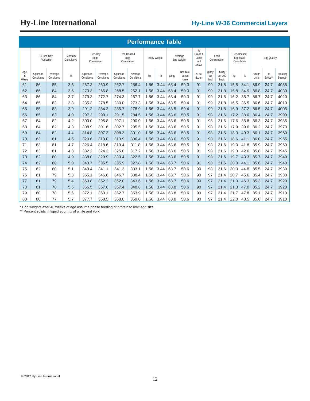|                     | <b>Performance Table</b> |                         |                         |                       |                       |                       |                                  |      |                    |       |                            |                                       |                      |                            |      |                                      |                |               |                      |
|---------------------|--------------------------|-------------------------|-------------------------|-----------------------|-----------------------|-----------------------|----------------------------------|------|--------------------|-------|----------------------------|---------------------------------------|----------------------|----------------------------|------|--------------------------------------|----------------|---------------|----------------------|
|                     |                          | % Hen-Day<br>Production | Mortality<br>Cumulative | Cumulative            | Hen-Day<br>Eggs       |                       | Hen-Housed<br>Eggs<br>Cumulative |      | <b>Body Weight</b> |       | Average<br>Egg Weight*     | %<br>Grade A<br>Large<br>and<br>Above |                      | Feed<br>Consumption        |      | Hen-Housed<br>Egg Mass<br>Cumulative |                | Egg Quality   |                      |
| Age<br>in.<br>Weeks | Optimum<br>Conditions    | Average<br>Conditions   | $\%$                    | Optimum<br>Conditions | Average<br>Conditions | Optimum<br>Conditions | Average<br>Conditions            | kg   | $\mathsf{lb}$      | g/egg | Net lb/30<br>dozen<br>case | 23 oz/<br>dozen                       | g/day<br>per<br>bird | lb/day<br>per 100<br>birds | kg   | $\mathsf{lb}$                        | Haugh<br>Units | %<br>Solids** | Breaking<br>Strength |
| 61                  | 86                       | 85                      | 3.5                     | 267.3                 | 260.9                 | 262.7                 | 256.4                            | 1.56 | 3.44               | 63.4  | 50.3                       | 91                                    | 99                   | 21.8                       | 15.5 | 34.1                                 | 86.9           | 24.7          | 4035                 |
| 62                  | 86                       | 84                      | 3.6                     | 273.3                 | 266.8                 | 268.5                 | 262.1                            | 1.56 | 3.44               | 63.4  | 50.3                       | 91                                    | 99                   | 21.8                       | 15.8 | 34.9                                 | 86.8           | 24.7          | 4030                 |
| 63                  | 86                       | 84                      | 3.7                     | 279.3                 | 272.7                 | 274.3                 | 267.7                            | 1.56 | 3.44               | 63.4  | 50.3                       | 91                                    | 99                   | 21.8                       | 16.2 | 35.7                                 | 86.7           | 24.7          | 4020                 |
| 64                  | 85                       | 83                      | 3.8                     | 285.3                 | 278.5                 | 280.0                 | 273.3                            | 1.56 | 3.44               | 63.5  | 50.4                       | 91                                    | 99                   | 21.8                       | 16.5 | 36.5                                 | 86.6           | 24.7          | 4010                 |
| 65                  | 85                       | 83                      | 3.9                     | 291.2                 | 284.3                 | 285.7                 | 278.9                            | 1.56 | 3.44               | 63.5  | 50.4                       | 91                                    | 99                   | 21.8                       | 16.9 | 37.2                                 | 86.5           | 24.7          | 4005                 |
| 66                  | 85                       | 83                      | 4.0                     | 297.2                 | 290.1                 | 291.5                 | 284.5                            | 1.56 | 3.44               | 63.6  | 50.5                       | 91                                    | 98                   | 21.6                       | 17.2 | 38.0                                 | 86.4           | 24.7          | 3990                 |
| 67                  | 84                       | 82                      | 4.2                     | 303.0                 | 295.8                 | 297.1                 | 290.0                            | 1.56 | 3.44               | 63.6  | 50.5                       | 91                                    | 98                   | 21.6                       | 17.6 | 38.8                                 | 86.3           | 24.7          | 3985                 |
| 68                  | 84                       | 82                      | 4.3                     | 308.9                 | 301.6                 | 302.7                 | 295.5                            | 1.56 | 3.44               | 63.6  | 50.5                       | 91                                    | 98                   | 21.6                       | 17.9 | 39.6                                 | 86.2           | 24.7          | 3970                 |
| 69                  | 84                       | 82                      | 4.4                     | 314.8                 | 307.3                 | 308.3                 | 301.0                            | 1.56 | 3.44               | 63.6  | 50.5                       | 91                                    | 98                   | 21.6                       | 18.3 | 40.3                                 | 86.1           | 24.7          | 3960                 |
| 70                  | 83                       | 81                      | 4.5                     | 320.6                 | 313.0                 | 313.9                 | 306.4                            | 1.56 | 3.44               | 63.6  | 50.5                       | 91                                    | 98                   | 21.6                       | 18.6 | 41.1                                 | 86.0           | 24.7          | 3955                 |
| 71                  | 83                       | 81                      | 4.7                     | 326.4                 | 318.6                 | 319.4                 | 311.8                            | 1.56 | 3.44               | 63.6  | 50.5                       | 91                                    | 98                   | 21.6                       | 19.0 | 41.8                                 | 85.9           | 24.7          | 3950                 |
| 72                  | 83                       | 81                      | 4.8                     | 332.2                 | 324.3                 | 325.0                 | 317.2                            | 1.56 | 3.44               | 63.6  | 50.5                       | 91                                    | 98                   | 21.6                       | 19.3 | 42.6                                 | 85.8           | 24.7          | 3945                 |
| 73                  | 82                       | 80                      | 4.9                     | 338.0                 | 329.9                 | 330.4                 | 322.5                            | 1.56 | 3.44               | 63.6  | 50.5                       | 91                                    | 98                   | 21.6                       | 19.7 | 43.3                                 | 85.7           | 24.7          | 3940                 |
| 74                  | 82                       | 80                      | 5.0                     | 343.7                 | 335.5                 | 335.9                 | 327.8                            | 1.56 | 3.44               | 63.7  | 50.6                       | 91                                    | 98                   | 21.6                       | 20.0 | 44.1                                 | 85.6           | 24.7          | 3940                 |
| 75                  | 82                       | 80                      | 5.1                     | 349.4                 | 341.1                 | 341.3                 | 333.1                            | 1.56 | 3.44               | 63.7  | 50.6                       | 90                                    | 98                   | 21.6                       | 20.3 | 44.8                                 | 85.5           | 24.7          | 3930                 |
| 76                  | 81                       | 79                      | 5.3                     | 355.1                 | 346.6                 | 346.7                 | 338.4                            | 1.56 | 3.44               | 63.7  | 50.6                       | 90                                    | 97                   | 21.4                       | 20.7 | 45.6                                 | 85.4           | 24.7          | 3930                 |
| 77                  | 81                       | 79                      | 5.4                     | 360.8                 | 352.2                 | 352.0                 | 343.6                            | 1.56 | 3.44               | 63.7  | 50.6                       | 90                                    | 97                   | 21.4                       | 21.0 | 46.3                                 | 85.3           | 24.7          | 3920                 |
| 78                  | 81                       | 78                      | 5.5                     | 366.5                 | 357.6                 | 357.4                 | 348.8                            | 1.56 | 3.44               | 63.8  | 50.6                       | 90                                    | 97                   | 21.4                       | 21.3 | 47.0                                 | 85.2           | 24.7          | 3920                 |
| 79                  | 80                       | 78                      | 5.6                     | 372.1                 | 363.1                 | 362.7                 | 353.9                            | 1.56 | 3.44               | 63.8  | 50.6                       | 90                                    | 97                   | 21.4                       | 21.7 | 47.8                                 | 85.1           | 24.7          | 3910                 |
| 80                  | 80                       | 77                      | 5.7                     | 377.7                 | 368.5                 | 368.0                 | 359.0                            | 1.56 | 3.44               | 63.8  | 50.6                       | 90                                    | 97                   | 21.4                       | 22.0 | 48.5                                 | 85.0           | 24.7          | 3910                 |

\* Egg weights after 40 weeks of age assume phase feeding of protein to limit egg size.

\*\* Percent solids in liquid egg mix of white and yolk.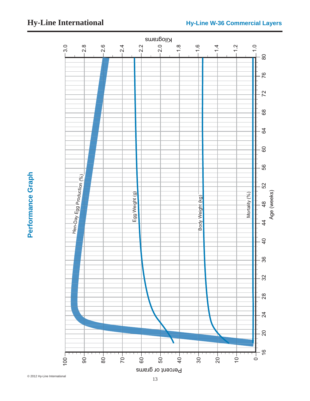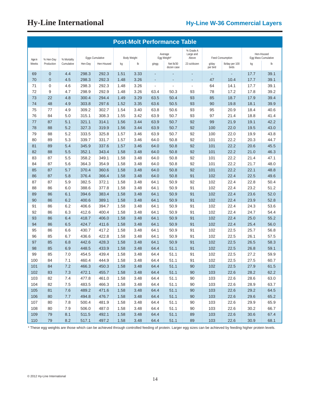|                 | <b>Post-Molt Performance Table</b> |                           |         |                 |      |                    |       |                         |                                 |                   |                          |      |                                   |
|-----------------|------------------------------------|---------------------------|---------|-----------------|------|--------------------|-------|-------------------------|---------------------------------|-------------------|--------------------------|------|-----------------------------------|
|                 |                                    |                           |         | Eggs Cumulative |      | <b>Body Weight</b> |       | Average<br>Egg Weight*  | % Grade A<br>Large and<br>Above |                   | Feed Consumption         |      | Hen-Housed<br>Egg Mass Cumulative |
| Age in<br>Weeks | % Hen-Day<br>Production            | % Mortality<br>Cumulative | Hen-Day | Hen-Housed      | kg   | $\mathsf{lb}$      | g/egg | Net lb/30<br>dozen case | 23 oz/dozen                     | g/day<br>per bird | Ib/day per 100<br>birds  | kg   | Ib                                |
| 69              | $\mathbf{0}$                       | 4.4                       | 298.3   | 292.3           | 1.51 | 3.33               | ٠     |                         | $\blacksquare$                  | $\blacksquare$    | $\overline{\phantom{a}}$ | 17.7 | 39.1                              |
| 70              | $\overline{0}$                     | 4.5                       | 298.3   | 292.3           | 1.48 | 3.26               | ٠     |                         | ٠                               | 47                | 10.4                     | 17.7 | 39.1                              |
| 71              | $\mathbf 0$                        | 4.6                       | 298.3   | 292.3           | 1.48 | 3.26               | ÷,    |                         | $\overline{\phantom{a}}$        | 64                | 14.1                     | 17.7 | 39.1                              |
| 72              | 9                                  | 4.7                       | 298.9   | 292.9           | 1.48 | 3.26               | 63.4  | 50.3                    | 93                              | 78                | 17.2                     | 17.8 | 39.2                              |
| 73              | 22                                 | 4.8                       | 300.4   | 294.4           | 1.49 | 3.29               | 63.5  | 50.4                    | 93                              | 85                | 18.7                     | 17.9 | 39.4                              |
| 74              | 48                                 | 4.9                       | 303.8   | 297.6           | 1.52 | 3.35               | 63.6  | 50.5                    | 93                              | 90                | 19.8                     | 18.1 | 39.9                              |
| 75              | 77                                 | 4.9                       | 309.2   | 302.7           | 1.54 | 3.40               | 63.8  | 50.6                    | 93                              | 95                | 20.9                     | 18.4 | 40.6                              |
| 76              | 84                                 | 5.0                       | 315.1   | 308.3           | 1.55 | 3.42               | 63.9  | 50.7                    | 93                              | 97                | 21.4                     | 18.8 | 41.4                              |
| 77              | 87                                 | 5.1                       | 321.1   | 314.1           | 1.56 | 3.44               | 63.9  | 50.7                    | 92                              | 99                | 21.9                     | 19.1 | 42.2                              |
| 78              | 88                                 | 5.2                       | 327.3   | 319.9           | 1.56 | 3.44               | 63.9  | 50.7                    | 92                              | 100               | 22.0                     | 19.5 | 43.0                              |
| 79              | 88                                 | 5.2                       | 333.5   | 325.8           | 1.57 | 3.46               | 63.9  | 50.7                    | 92                              | 100               | 22.0                     | 19.9 | 43.8                              |
| 80              | 89                                 | 5.3                       | 339.7   | 331.7           | 1.57 | 3.46               | 64.0  | 50.8                    | 92                              | 101               | 22.2                     | 20.3 | 44.7                              |
| 81              | 89                                 | 5.4                       | 345.9   | 337.6           | 1.57 | 3.46               | 64.0  | 50.8                    | 92                              | 101               | 22.2                     | 20.6 | 45.5                              |
| 82              | 88                                 | 5.5                       | 352.1   | 343.4           | 1.58 | 3.48               | 64.0  | 50.8                    | 92                              | 101               | 22.2                     | 21.0 | 46.3                              |
| 83              | 87                                 | 5.5                       | 358.2   | 349.1           | 1.58 | 3.48               | 64.0  | 50.8                    | 92                              | 101               | 22.2                     | 21.4 | 47.1                              |
| 84              | 87                                 | 5.6                       | 364.3   | 354.9           | 1.58 | 3.48               | 64.0  | 50.8                    | 92                              | 101               | 22.2                     | 21.7 | 48.0                              |
| 85              | 87                                 | 5.7                       | 370.4   | 360.6           | 1.58 | 3.48               | 64.0  | 50.8                    | 92                              | 101               | 22.2                     | 22.1 | 48.8                              |
| 86              | 87                                 | 5.8                       | 376.4   | 366.4           | 1.58 | 3.48               | 64.0  | 50.8                    | 91                              | 102               | 22.4                     | 22.5 | 49.6                              |
| 87              | 87                                 | 5.9                       | 382.5   | 372.1           | 1.58 | 3.48               | 64.1  | 50.9                    | 92                              | 102               | 22.4                     | 22.8 | 50.4                              |
| 88              | 86                                 | 6.0                       | 388.6   | 377.8           | 1.58 | 3.48               | 64.1  | 50.9                    | 91                              | 102               | 22.4                     | 23.2 | 51.2                              |
| 89              | 86                                 | 6.1                       | 394.6   | 383.4           | 1.58 | 3.48               | 64.1  | 50.9                    | 91                              | 102               | 22.4                     | 23.6 | 52.0                              |
| 90              | 86                                 | 6.2                       | 400.6   | 389.1           | 1.58 | 3.48               | 64.1  | 50.9                    | 91                              | 102               | 22.4                     | 23.9 | 52.8                              |
| 91              | 86                                 | 6.2                       | 406.6   | 394.7           | 1.58 | 3.48               | 64.1  | 50.9                    | 91                              | 102               | 22.4                     | 24.3 | 53.6                              |
| 92              | 86                                 | 6.3                       | 412.6   | 400.4           | 1.58 | 3.48               | 64.1  | 50.9                    | 91                              | 102               | 22.4                     | 24.7 | 54.4                              |
| 93              | 86                                 | 6.4                       | 418.7   | 406.0           | 1.58 | 3.48               | 64.1  | 50.9                    | 91                              | 102               | 22.4                     | 25.0 | 55.2                              |
| 94              | 86                                 | 6.5                       | 424.7   | 411.6           | 1.58 | 3.48               | 64.1  | 50.9                    | 91                              | 102               | 22.4                     | 25.4 | 56.0                              |
| 95              | 86                                 | 6.6                       | 430.7   | 417.2           | 1.58 | 3.48               | 64.1  | 50.9                    | 91                              | 102               | 22.5                     | 25.7 | 56.8                              |
| 96              | 85                                 | 6.7                       | 436.6   | 422.8           | 1.58 | 3.48               | 64.1  | 50.9                    | 91                              | 102               | 22.5                     | 26.1 | 57.5                              |
| 97              | 85                                 | 6.8                       | 442.6   | 428.3           | 1.58 | 3.48               | 64.1  | 50.9                    | 91                              | 102               | 22.5                     | 26.5 | 58.3                              |
| 98              | 85                                 | 6.9                       | 448.5   | 433.9           | 1.58 | 3.48               | 64.4  | 51.1                    | 91                              | 102               | 22.5                     | 26.8 | 59.1                              |
| 99              | 85                                 | 7.0                       | 454.5   | 439.4           | 1.58 | 3.48               | 64.4  | 51.1                    | 91                              | 102               | 22.5                     | 27.2 | 59.9                              |
| 100             | 84                                 | 7.1                       | 460.4   | 444.9           | 1.58 | 3.48               | 64.4  | 51.1                    | 91                              | 102               | 22.5                     | 27.5 | 60.7                              |
| 101             | 84                                 | 7.2                       | 466.3   | 450.3           | 1.58 | 3.48               | 64.4  | 51.1                    | 90                              | 102               | 22.5                     | 27.9 | 61.5                              |
| 102             | 83                                 | 7.3                       | 472.1   | 455.7           | 1.58 | 3.48               | 64.4  | 51.1                    | 90                              | 103               | 22.6                     | 28.2 | 62.2                              |
| 103             | 82                                 | 7.4                       | 477.8   | 461.0           | 1.58 | 3.48               | 64.4  | 51.1                    | 90                              | 103               | 22.6                     | 28.6 | 63.0                              |
| 104             | 82                                 | 7.5                       | 483.5   | 466.3           | 1.58 | 3.48               | 64.4  | 51.1                    | 90                              | 103               | 22.6                     | 28.9 | 63.7                              |
| 105             | 81                                 | 7.6                       | 489.2   | 471.6           | 1.58 | 3.48               | 64.4  | 51.1                    | 90                              | 103               | 22.6                     | 29.2 | 64.5                              |
| 106             | 80                                 | 7.7                       | 494.8   | 476.7           | 1.58 | 3.48               | 64.4  | 51.1                    | 90                              | 103               | 22.6                     | 29.6 | 65.2                              |
| 107             | 80                                 | 7.8                       | 500.4   | 481.9           | 1.58 | 3.48               | 64.4  | 51.1                    | 90                              | 103               | 22.6                     | 29.9 | 65.9                              |
| 108             | 80                                 | 7.9                       | 506.0   | 487.0           | 1.58 | 3.48               | 64.4  | 51.1                    | 90                              | 103               | 22.6                     | 30.2 | 66.7                              |
| 109             | 79                                 | 8.1                       | 511.5   | 492.1           | 1.58 | 3.48               | 64.4  | 51.1                    | 89                              | 103               | 22.6                     | 30.6 | 67.4                              |
| 110             | 79                                 | 8.2                       | 517.1   | 497.2           | 1.58 | 3.48               | 64.4  | 51.1                    | 89                              | 103               | 22.6                     | 30.9 | 68.1                              |

\* These egg weights are those which can be achieved through controlled feeding of protein. Larger egg sizes can be achieved by feeding higher protein levels.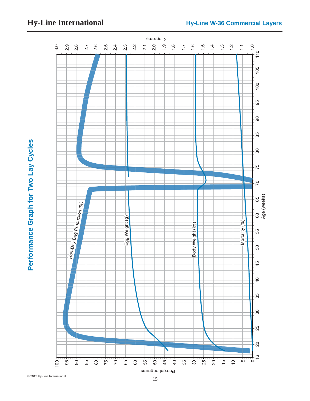

 $\sum$ 

 $11.0$ <br>  $110$ 

1.3 1.2

16 20 25 30 35 40 45 50 55 60 65 70 75 80 85 90 95 100 105 110  $105$ <u>်ခ</u> ် မှာ . ခွ 85 Performance Graph for Two Lay Cycles<br>
15 © 2012<br>
15 © 2012<br>
2012 Hy-Line International Cycles<br>
2012 Hy-Line International Cycles<br>
2013<br>
2012 Hy-Line International Cycles<br>
2013<br>
2012 Hy-Line International Cycles<br>
2013 Hy-Li  $\overline{8}$ 75  $\overline{7}$ 60 65<br>Age (weeks) Age (weeks)  $H^{\frac{1}{1+\alpha}}$  bay Egg Production  $\binom{\alpha_{6}}{\alpha_{6}}$ Egg Weight (g) Mortality (%) Mortality (%)Body Weight (kg) Body Weight (kg) 55 - 60  $-45$  $-40$ 35  $30$ 25 .<br>20  $\frac{1}{2}$ 100 75  $15 \frac{1}{2}$ 95 85  $80<sup>-</sup>$ 70 65 55 45  $\frac{1}{9}$ 35 30 25 20  $90$ 60 50 5  $\circ$ Percent or grams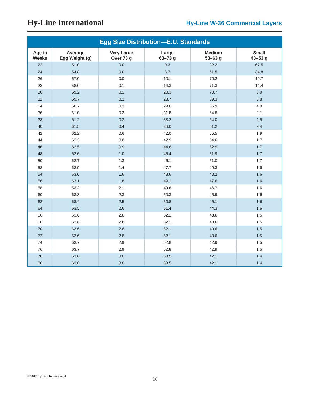|                        |                           |                                | <b>Egg Size Distribution-E.U. Standards</b> |                              |                             |
|------------------------|---------------------------|--------------------------------|---------------------------------------------|------------------------------|-----------------------------|
| Age in<br><b>Weeks</b> | Average<br>Egg Weight (g) | <b>Very Large</b><br>Over 73 g | Large<br>$63 - 73$ g                        | <b>Medium</b><br>$53 - 63$ g | <b>Small</b><br>$43 - 53$ g |
| 22                     | 51.0                      | 0.0                            | 0.3                                         | 32.2                         | 67.5                        |
| 24                     | 54.8                      | 0.0                            | 3.7                                         | 61.5                         | 34.8                        |
| 26                     | 57.0                      | 0.0                            | 10.1                                        | 70.2                         | 19.7                        |
| 28                     | 58.0                      | 0.1                            | 14.3                                        | 71.3                         | 14.4                        |
| 30                     | 59.2                      | 0.1                            | 20.3                                        | 70.7                         | 8.9                         |
| 32                     | 59.7                      | 0.2                            | 23.7                                        | 69.3                         | 6.8                         |
| 34                     | 60.7                      | 0.3                            | 29.8                                        | 65.9                         | 4.0                         |
| 36                     | 61.0                      | 0.3                            | 31.8                                        | 64.8                         | 3.1                         |
| 38                     | 61.2                      | 0.3                            | 33.2                                        | 64.0                         | 2.5                         |
| 40                     | 61.5                      | 0.4                            | 36.0                                        | 61.2                         | 2.4                         |
| 42                     | 62.2                      | 0.6                            | 42.0                                        | 55.5                         | 1.9                         |
| 44                     | 62.3                      | 0.8                            | 42.9                                        | 54.6                         | 1.7                         |
| 46                     | 62.5                      | 0.9                            | 44.6                                        | 52.9                         | 1.7                         |
| 48                     | 62.6                      | 1.0                            | 45.4                                        | 51.9                         | 1.7                         |
| 50                     | 62.7                      | 1.3                            | 46.1                                        | 51.0                         | 1.7                         |
| 52                     | 62.9                      | 1.4                            | 47.7                                        | 49.3                         | 1.6                         |
| 54                     | 63.0                      | 1.6                            | 48.6                                        | 48.2                         | 1.6                         |
| 56                     | 63.1                      | 1.8                            | 49.1                                        | 47.6                         | 1.6                         |
| 58                     | 63.2                      | 2.1                            | 49.6                                        | 46.7                         | 1.6                         |
| 60                     | 63.3                      | 2.3                            | 50.3                                        | 45.9                         | 1.6                         |
| 62                     | 63.4                      | 2.5                            | 50.8                                        | 45.1                         | 1.6                         |
| 64                     | 63.5                      | 2.6                            | 51.4                                        | 44.3                         | 1.6                         |
| 66                     | 63.6                      | 2.8                            | 52.1                                        | 43.6                         | 1.5                         |
| 68                     | 63.6                      | 2.8                            | 52.1                                        | 43.6                         | 1.5                         |
| 70                     | 63.6                      | 2.8                            | 52.1                                        | 43.6                         | 1.5                         |
| 72                     | 63.6                      | 2.8                            | 52.1                                        | 43.6                         | 1.5                         |
| 74                     | 63.7                      | 2.9                            | 52.8                                        | 42.9                         | 1.5                         |
| 76                     | 63.7                      | 2.9                            | 52.8                                        | 42.9                         | 1.5                         |
| 78                     | 63.8                      | 3.0                            | 53.5                                        | 42.1                         | 1.4                         |
| 80                     | 63.8                      | 3.0                            | 53.5                                        | 42.1                         | 1.4                         |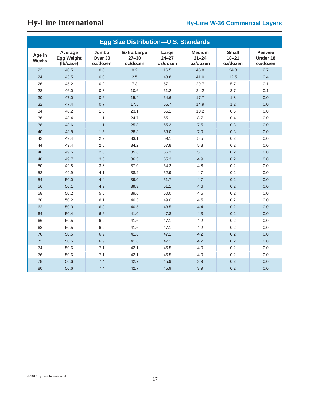|                        |                                           |                              | <b>Egg Size Distribution-U.S. Standards</b> |                                |                                        |                                       |                                       |
|------------------------|-------------------------------------------|------------------------------|---------------------------------------------|--------------------------------|----------------------------------------|---------------------------------------|---------------------------------------|
| Age in<br><b>Weeks</b> | Average<br><b>Egg Weight</b><br>(Ib/case) | Jumbo<br>Over 30<br>oz/dozen | <b>Extra Large</b><br>$27 - 30$<br>oz/dozen | Large<br>$24 - 27$<br>oz/dozen | <b>Medium</b><br>$21 - 24$<br>oz/dozen | <b>Small</b><br>$18 - 21$<br>oz/dozen | <b>Peewee</b><br>Under 18<br>oz/dozen |
| 22                     | 40.5                                      | 0.0                          | 0.2                                         | 16.5                           | 45.8                                   | 34.8                                  | 2.7                                   |
| 24                     | 43.5                                      | 0.0                          | 2.5                                         | 43.6                           | 41.0                                   | 12.5                                  | 0.4                                   |
| 26                     | 45.2                                      | 0.2                          | 7.3                                         | 57.1                           | 29.7                                   | 5.7                                   | 0.1                                   |
| 28                     | 46.0                                      | 0.3                          | 10.6                                        | 61.2                           | 24.2                                   | 3.7                                   | 0.1                                   |
| 30                     | 47.0                                      | 0.6                          | 15.4                                        | 64.6                           | 17.7                                   | 1.8                                   | 0.0                                   |
| 32                     | 47.4                                      | 0.7                          | 17.5                                        | 65.7                           | 14.9                                   | 1.2                                   | 0.0                                   |
| 34                     | 48.2                                      | 1.0                          | 23.1                                        | 65.1                           | 10.2                                   | 0.6                                   | 0.0                                   |
| 36                     | 48.4                                      | 1.1                          | 24.7                                        | 65.1                           | 8.7                                    | 0.4                                   | 0.0                                   |
| 38                     | 48.6                                      | 1.1                          | 25.8                                        | 65.3                           | 7.5                                    | 0.3                                   | 0.0                                   |
| 40                     | 48.8                                      | 1.5                          | 28.3                                        | 63.0                           | 7.0                                    | 0.3                                   | 0.0                                   |
| 42                     | 49.4                                      | 2.2                          | 33.1                                        | 59.1                           | 5.5                                    | 0.2                                   | 0.0                                   |
| 44                     | 49.4                                      | 2.6                          | 34.2                                        | 57.8                           | 5.3                                    | 0.2                                   | 0.0                                   |
| 46                     | 49.6                                      | 2.8                          | 35.6                                        | 56.3                           | 5.1                                    | 0.2                                   | 0.0                                   |
| 48                     | 49.7                                      | 3.3                          | 36.3                                        | 55.3                           | 4.9                                    | 0.2                                   | 0.0                                   |
| 50                     | 49.8                                      | 3.8                          | 37.0                                        | 54.2                           | 4.8                                    | 0.2                                   | 0.0                                   |
| 52                     | 49.9                                      | 4.1                          | 38.2                                        | 52.9                           | 4.7                                    | 0.2                                   | 0.0                                   |
| 54                     | 50.0                                      | 4.4                          | 39.0                                        | 51.7                           | 4.7                                    | 0.2                                   | 0.0                                   |
| 56                     | 50.1                                      | 4.9                          | 39.3                                        | 51.1                           | 4.6                                    | 0.2                                   | 0.0                                   |
| 58                     | 50.2                                      | 5.5                          | 39.6                                        | 50.0                           | 4.6                                    | 0.2                                   | 0.0                                   |
| 60                     | 50.2                                      | 6.1                          | 40.3                                        | 49.0                           | 4.5                                    | 0.2                                   | 0.0                                   |
| 62                     | 50.3                                      | 6.3                          | 40.5                                        | 48.5                           | 4.4                                    | 0.2                                   | 0.0                                   |
| 64                     | 50.4                                      | 6.6                          | 41.0                                        | 47.8                           | 4.3                                    | 0.2                                   | 0.0                                   |
| 66                     | 50.5                                      | 6.9                          | 41.6                                        | 47.1                           | 4.2                                    | 0.2                                   | 0.0                                   |
| 68                     | 50.5                                      | 6.9                          | 41.6                                        | 47.1                           | 4.2                                    | 0.2                                   | 0.0                                   |
| 70                     | 50.5                                      | 6.9                          | 41.6                                        | 47.1                           | 4.2                                    | 0.2                                   | 0.0                                   |
| 72                     | 50.5                                      | 6.9                          | 41.6                                        | 47.1                           | 4.2                                    | 0.2                                   | 0.0                                   |
| 74                     | 50.6                                      | 7.1                          | 42.1                                        | 46.5                           | 4.0                                    | 0.2                                   | 0.0                                   |
| 76                     | 50.6                                      | 7.1                          | 42.1                                        | 46.5                           | 4.0                                    | 0.2                                   | 0.0                                   |
| 78                     | 50.6                                      | 7.4                          | 42.7                                        | 45.9                           | 3.9                                    | 0.2                                   | 0.0                                   |
| 80                     | 50.6                                      | 7.4                          | 42.7                                        | 45.9                           | 3.9                                    | 0.2                                   | 0.0                                   |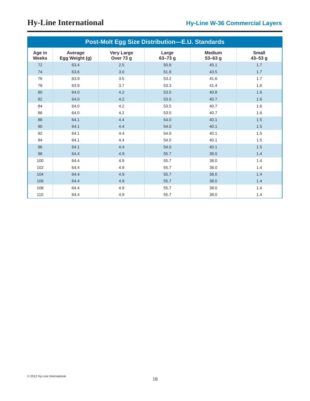|                        |                           |                                | <b>Post-Molt Egg Size Distribution-E.U. Standards</b> |                              |                             |
|------------------------|---------------------------|--------------------------------|-------------------------------------------------------|------------------------------|-----------------------------|
| Age in<br><b>Weeks</b> | Average<br>Egg Weight (g) | <b>Very Large</b><br>Over 73 g | Large<br>$63 - 73$ g                                  | <b>Medium</b><br>$53 - 63$ g | <b>Small</b><br>$43 - 53$ g |
| 72                     | 63.4                      | 2.5                            | 50.8                                                  | 45.1                         | 1.7                         |
| 74                     | 63.6                      | 3.0                            | 51.8                                                  | 43.5                         | 1.7                         |
| 76                     | 63.9                      | 3.5                            | 53.2                                                  | 41.6                         | 1.7                         |
| 78                     | 63.9                      | 3.7                            | 53.3                                                  | 41.4                         | 1.6                         |
| 80                     | 64.0                      | 4.2                            | 53.5                                                  | 40.8                         | 1.6                         |
| 82                     | 64.0                      | 4.2                            | 53.5                                                  | 40.7                         | 1.6                         |
| 84                     | 64.0                      | 4.2                            | 53.5                                                  | 40.7                         | 1.6                         |
| 86                     | 64.0                      | 4.2                            | 53.5                                                  | 40.7                         | 1.6                         |
| 88                     | 64.1                      | 4.4                            | 54.0                                                  | 40.1                         | 1.5                         |
| 90                     | 64.1                      | 4.4                            | 54.0                                                  | 40.1                         | 1.5                         |
| 92                     | 64.1                      | 4.4                            | 54.0                                                  | 40.1                         | 1.5                         |
| 94                     | 64.1                      | 4.4                            | 54.0                                                  | 40.1                         | 1.5                         |
| 96                     | 64.1                      | 4.4                            | 54.0                                                  | 40.1                         | 1.5                         |
| 98                     | 64.4                      | 4.9                            | 55.7                                                  | 38.0                         | 1.4                         |
| 100                    | 64.4                      | 4.9                            | 55.7                                                  | 38.0                         | 1.4                         |
| 102                    | 64.4                      | 4.9                            | 55.7                                                  | 38.0                         | 1.4                         |
| 104                    | 64.4                      | 4.9                            | 55.7                                                  | 38.0                         | 1.4                         |
| 106                    | 64.4                      | 4.9                            | 55.7                                                  | 38.0                         | 1.4                         |
| 108                    | 64.4                      | 4.9                            | 55.7                                                  | 38.0                         | 1.4                         |
| 110                    | 64.4                      | 4.9                            | 55.7                                                  | 38.0                         | 1.4                         |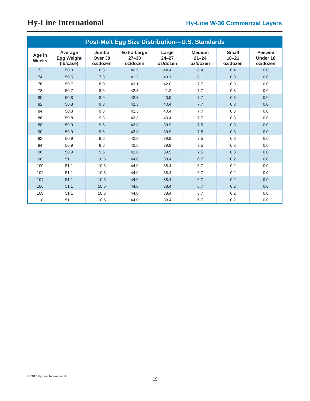|                        | <b>Post-Molt Egg Size Distribution-U.S. Standards</b> |                                         |                                             |                                |                                        |                                       |                                       |  |  |  |  |  |  |
|------------------------|-------------------------------------------------------|-----------------------------------------|---------------------------------------------|--------------------------------|----------------------------------------|---------------------------------------|---------------------------------------|--|--|--|--|--|--|
| Age in<br><b>Weeks</b> | Average<br><b>Egg Weight</b><br>(Ib/case)             | Jumbo<br>Over <sub>30</sub><br>oz/dozen | <b>Extra Large</b><br>$27 - 30$<br>oz/dozen | Large<br>$24 - 27$<br>oz/dozen | <b>Medium</b><br>$21 - 24$<br>oz/dozen | <b>Small</b><br>$18 - 21$<br>oz/dozen | <b>Peewee</b><br>Under 18<br>oz/dozen |  |  |  |  |  |  |
| 72                     | 50.3                                                  | 6.3                                     | 40.5                                        | 44.4                           | 8.4                                    | 0.4                                   | 0.0                                   |  |  |  |  |  |  |
| 74                     | 50.5                                                  | 7.3                                     | 41.2                                        | 43.1                           | 8.1                                    | 0.3                                   | 0.0                                   |  |  |  |  |  |  |
| 76                     | 50.7                                                  | 8.0                                     | 42.1                                        | 42.0                           | 7.7                                    | 0.3                                   | 0.0                                   |  |  |  |  |  |  |
| 78                     | 50.7                                                  | 8.6                                     | 42.3                                        | 41.2                           | 7.7                                    | 0.3                                   | 0.0                                   |  |  |  |  |  |  |
| 80                     | 50.8                                                  | 8.9                                     | 42.3                                        | 40.9                           | 7.7                                    | 0.3                                   | 0.0                                   |  |  |  |  |  |  |
| 82                     | 50.8                                                  | 9.3                                     | 42.3                                        | 40.4                           | 7.7                                    | 0.3                                   | 0.0                                   |  |  |  |  |  |  |
| 84                     | 50.8                                                  | 9.3                                     | 42.3                                        | 40.4                           | 7.7                                    | 0.3                                   | 0.0                                   |  |  |  |  |  |  |
| 86                     | 50.8                                                  | 9.3                                     | 42.3                                        | 40.4                           | 7.7                                    | 0.3                                   | 0.0                                   |  |  |  |  |  |  |
| 88                     | 50.9                                                  | 9.6                                     | 42.8                                        | 39.9                           | 7.5                                    | 0.3                                   | 0.0                                   |  |  |  |  |  |  |
| 90                     | 50.9                                                  | 9.6                                     | 42.8                                        | 39.9                           | 7.5                                    | 0.3                                   | 0.0                                   |  |  |  |  |  |  |
| 92                     | 50.9                                                  | 9.6                                     | 42.8                                        | 39.9                           | 7.5                                    | 0.3                                   | 0.0                                   |  |  |  |  |  |  |
| 94                     | 50.9                                                  | 9.6                                     | 42.8                                        | 39.9                           | 7.5                                    | 0.3                                   | 0.0                                   |  |  |  |  |  |  |
| 96                     | 50.9                                                  | 9.6                                     | 42.8                                        | 39.9                           | 7.5                                    | 0.3                                   | 0.0                                   |  |  |  |  |  |  |
| 98                     | 51.1                                                  | 10.6                                    | 44.0                                        | 38.4                           | 6.7                                    | 0.2                                   | 0.0                                   |  |  |  |  |  |  |
| 100                    | 51.1                                                  | 10.6                                    | 44.0                                        | 38.4                           | 6.7                                    | 0.2                                   | 0.0                                   |  |  |  |  |  |  |
| 102                    | 51.1                                                  | 10.6                                    | 44.0                                        | 38.4                           | 6.7                                    | 0.2                                   | 0.0                                   |  |  |  |  |  |  |
| 104                    | 51.1                                                  | 10.6                                    | 44.0                                        | 38.4                           | 6.7                                    | 0.2                                   | 0.0                                   |  |  |  |  |  |  |
| 106                    | 51.1                                                  | 10.6                                    | 44.0                                        | 38.4                           | 6.7                                    | 0.2                                   | 0.0                                   |  |  |  |  |  |  |
| 108                    | 51.1                                                  | 10.6                                    | 44.0                                        | 38.4                           | 6.7                                    | 0.2                                   | 0.0                                   |  |  |  |  |  |  |
| 110                    | 51.1                                                  | 10.6                                    | 44.0                                        | 38.4                           | 6.7                                    | 0.2                                   | 0.0                                   |  |  |  |  |  |  |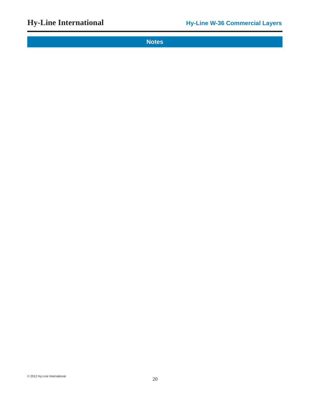**Notes**